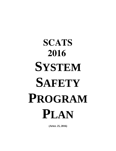# **SCATS 2016 SYSTEM SAFETY PROGRAM PLAN**

**(APRIL 25, 2016)**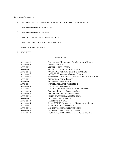#### **TABLE OF CONTENTS**

- 1. SYSTEM SAFETY PLAN MANAGEMENT DESCRIPTIONS OF ELEMENTS
- 2. DRIVER/EMPLOYEE SELECTION
- 3. DRIVER/EMPLOYEE TRAINING
- 4. SAFETY DATA ACQUISITION/ANALYSIS
- 5. DRUG AND ALCOHOL ABUSE PROGRAMS
- 6. VEHICLE MAINTENANCE
- 7. SECURITY

#### **APPENDICES**

| <b>APPENDIX A</b> | CONTRACTOR MONITORING AND OVERSIGHT DOCUMENT           |
|-------------------|--------------------------------------------------------|
| <b>APPENDIX B</b> | <b>JOB DESCRIPTIONS</b>                                |
| <b>APPENDIX C</b> | <b>VEHICLE CAMERA POLICY</b>                           |
| <b>APPENDIX D</b> | NCDOT/PTD ASSET WORKS POLICY                           |
| <b>APPENDIX E</b> | NCDOT/PTD MINIMUM TRAINING STANDARD                    |
| <b>APPENDIX F</b> | NCDOT/PTD VEHICLE MARKING POLICY                       |
| <b>APPENDIX G</b> | <b>BLOOD BORNE PATHOGENS AND EXPOSURE CONTROL PLAN</b> |
| <b>APPENDIX H</b> | DRUG AND ALCOHOL POLICY                                |
| <b>APPENDIX I</b> | <b>EMPLOYEE CONDUCT POLICY</b>                         |
| <b>APPENDIX J</b> | WORKPLACE HAZARD ASSESSMENT                            |
| <b>APPENDIX K</b> | PPE HAZARD ASSESSMENT                                  |
| <b>APPENDIX L</b> | <b>HAZARD COMMUNICATION TRAINING PROGRAM</b>           |
| <b>APPENDIX M</b> | <b>ACCIDENT/INCIDENT REPORTING POLICY</b>              |
| <b>APPENDIX N</b> | <b>VEHICLE ACCIDENT REVIEW BOARD</b>                   |
| <b>APPENDIX O</b> | RISK MANAGEMENT & LOSS CONTROL                         |
| <b>APPENDIX P</b> | <b>EMERGENCY ACTION PLAN</b>                           |
| <b>APPENDIX R</b> | FIRE PREVENTION PLAN                                   |
| <b>APPENDIX S</b> | ASSET WORKS PREVENTATIVE MAINTENANCE PLAN              |
| <b>APPENDIX T</b> | <b>PRE/POST VEHICLE INSPECTION</b>                     |
| <b>APPENDIX U</b> | MONTHLY FACILITY INSPECTION FORM                       |
| <b>APPENDIX V</b> | CUSTOMER COMPLIANT/COMPLIMENT                          |
| <b>APPENDIX W</b> | PROCEDURES FOR FACILITY AND VEHICLE SECURITY           |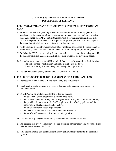# **GENERAL SYSTEM SAFETY PLAN MANAGEMENT DESCRIPTIONS OF ELEMENTS**

### **1. POLICY STATEMENT AND AUTHORITY FOR SYSTEM SAFETY PROGRAM PLAN**

- A. Effective October 2012, Moving Ahead for Progress in the 21st Century (MAP-21) mandated requirements for all public transportation to develop and implement a safety plan. As defined by MAP-21 public transportation is regular, continuing shared-ride surface transportation services that are open to the general public or open to a segment of the general public defined by age, disability, or low income.
- B. North Carolina Board of Transportation 2003 Resolution established the requirement for each transit system to develop and implement a System Safety Program Plan (SSPP).
- C. Establish the SSPP as an operating document that has been prepared for and approved by the transit system top management, chief executive officer or the governing board.
- D. The authority statement in the SSPP should define, as clearly as possible, the following:
	- 1. The authority for establishment and implementation of the SSPP
	- 2. How that authority has been delegated through the organization
- E. The SSPP must adequately address the SIX CORE ELEMENTS.

#### **2. DESCRIPTION OF PURPOSE FOR SYSTEM SAFETY PROGRAM PLAN**

- A. Address the intent of the SSPP and define why it is being written.
- B. Establish the safety philosophy of the whole organization and provide a means of implementation.
- C. A SSPP could be implemented for the following reasons:
	- To establish a safety program on a system wide basis.
	- To provide a medium through which a system can display its commitment to safety.
	- To provide a framework for the SSPP implementation of safety policies and the achievement of related goals and objectives.
	- To satisfy federal and state requirements.
	- To meet accepted industry standards and audit provisions.
	- To satisfy self-insurance or insurance carrier provisions.
- D. The relationship of system safety to system operations should be defined.
- E. All departments involved must have a clear definition of their individual responsibilities relative to the scope of the SSPP.
- F. This section should also contain system safety definitions applicable to the operating systems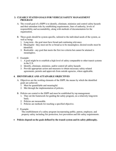# **3. CLEARLY STATED GOALS FOR VEHICLE SAFETY MANAGEMENT PROGRAM**

- A. The overall goal of a SSPP is to identify, eliminate, minimize and control safety hazards and their attendant risks by establishing requirements, lines of authority, levels of responsibility and accountability, along with methods of documentation for the organization.
- B. These goals should be system-specific, tailored to the individual needs of the system, as well as being:
	- 1. Long term the goal must have broad and continuing relevance.
	- 2. Meaningful they must not be so broad as to be meaningless; desired results must be identified.
	- 3. Realizable any goal that meets the first two criteria but cannot be attained is meaningless.
- C. Example:
	- 1. A goal might be to establish a high level of safety comparable to other transit systems in the U.S.
	- 2. Identify, eliminate, minimize, and/or control all safety hazards
	- 3. Provide appropriate action and measures to obtain necessary safety-related agreements, permits and approvals from outside agencies, where applicable.

#### **4. IDENTIFIABLE AND ATTAINABLE OBJECTIVES**

- A. Objectives are the working elements of the SSPP, the means by which the identified goals are achieved.
	- 1. Must be quantifiable and meaningful.
	- 2. Met through the implementation of policies.
- B. Policies are central to the SSPP and must be established by top management.
	- 1. They set the framework for guiding the safety program, on a relatively long-term basis.
	- 2. Policies are measurable.
	- 3. Policies are methods for reaching a specified objective.
- C. Example:

 The establishment of a safety program incorporating public, patron, employee, and property safety including fire protection, loss prevention and life safety requirements.

#### **Policies depend on the goals defined by the transit system and its safety philosophy.**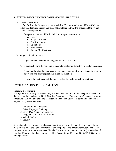# **5. SYSTEM DESCRIPTION/ORGANIZATIONAL STRUCTURE**

#### A. System Description

1. Briefly describe the system's characteristics. The information should be sufficient to allow non-technical person and those not employed in transit to understand the system and its basic operation.

- 2. Components that should be included in the system description:
	- a. History
	- b. Scope of service
	- c. Physical features
	- d. Operations
	- e. Maintenance
	- f. System Modifications
- B. Organizational Structure
	- 1. Organizational diagrams showing the title of each position.
	- 2. Diagram showing the structure of the system safety unit identifying the key positions.
	- 3. Diagrams showing the relationships and lines of communication between the system safety unit and other departments in the organization.
	- 4. Describe the relationship of the transit system to local political jurisdictions.

# **SYSTEM SAFETY PROGRAM PLAN**

#### **Program Description:**

The System Safety Program Plan (SSPP) was developed utilizing established guidance listed in the procedural manuals of the North Carolina Department of Transportation Standard Operating Procedure SSPP-001 and the State Management Plan. The SSPP consists of and addresses the required six (6) core elements:

- 1. Driver/Employee Selection
- 2. Driver/Employee Training
- 3. Safety Data Acquisition Analysis
- 4. Drug, Alcohol and Abuse Program
- 5. Vehicle Maintenance
- 6. Security

SCATS number one priority is adherence to policies and procedures of the core elements. All of the elements listed are equal in importance and the policies and procedures must be met. The compliance will ensure that we meet all Federal Transportation Administration (FTA) and North Carolina Department of Transportation Public Transportation Division (NCDOT/PTD) policies and regulations.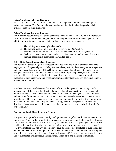#### **Driver/Employee Selection Element:**

Fair hiring practices are used to select employees. Each potential employee will complete a written application. The Executive Director and/or appointed official and supervisor shall interview each potential employee.

#### **Driver/Employee Training Element:**

The minimum requirements for vehicle operator training are Defensive Driving, Americans with Disabilities Act, Bloodborne Pathogens and Emergency Procedures for Vehicle Operators. In addition to the minimum requirements the follow actions must be completed:

- 1. The training must be completed annually
- 2. The training material must be on file for review by NCDOT/PTD
- 3. Records of each individual trained must be retained on file for five (5) years
- 4. Each driver must have an annual driver's performance evaluation to provide refresher training, assess skills, techniques, knowledge, etc…

#### **Safety Data Acquisition Analysis Element:**

The goal of the Safety Program is the reduction of accidents and injuries to transit customers, employees and the general public. Safety is a shared responsibility between system management and employees. It is the policy of SCATS to provide a place of employment that is free from recognized hazards that could result in death or serious injury to employees, customers or the general public. It is the responsibility of each employee to report all incidents or unsafe conditions to their supervisor. Supervisors must immediately take necessary corrective action to prevent unsafe conditions.

Prohibited behaviors are behaviors that are in violation of the System Safety Policy. Such behaviors include behaviors that threaten the safety of employees, customers and the general public. Other unacceptable behaviors include those that result in damage to system, employee and public and/or private property. An employee who intentionally violates the safety policy and procedures will be subject to appropriate disciplinary action, as determined by the findings of an investigation. Such discipline may include a warning, demotion, suspension or immediate dismissal. In addition, such actions may cause the employee to be held legally liable under State or Federal Law.

#### **Drug Alcohol and Abuse Program Element:**

The goal is to provide a safe, healthy and productive drug-free work environment for all employees. A person being under the influence of a drug or alcohol while on the job poses serious safety and health risk to the user, co-workers as-well-as passengers. SCATS has established a policy of a drug-free work environment. Any safety-sensitive or non-safetysensitive employee that has a verified positive drug or alcohol test or refuses to take a drug test will be removed from his/her position, informed of educational and rehabilitation programs available, and referred to a Substance Abuse Professional (SAP) for assessment. A positive drug and/or alcohol test will also result in disciplinary action up to and including termination.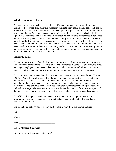#### **Vehicle Maintenance Element:**

The goal is to ensure vehicles; wheelchair lifts and equipment are properly maintained to maximize the service life, maintain reliability, mitigate high maintenance costs and sustain proper safety and mechanical condition. To accomplish this goal we will at a minimum adhere to the manufacturer's maintenance/service requirements for the vehicles, wheelchair lifts and equipment. Each transit driver is responsible for ensuring that periodic maintenance is performed on the vehicle assigned to him/her at the Scotland County SCATS Garage. The transit driver will indicate on the Pre-Trip and Post Inspection Form when the vehicle is within 500 miles of the next scheduled service. Preventive maintenance and wheelchair lift servicing will be entered into Asset Works system as a schedule PM servicing needed, to help maintain current and up to date maintenance on each vehicle. In the event that the county garage services are not available SCATS will contract through a private vendor.

#### **Security Element:**

The overall purpose of the Security Program is to optimize -- within the constraints of time, cost, and operational effectiveness -- the level of protection afforded to vehicles, equipment, facilities, passengers, employees, volunteers and contractors, and any other individuals who come into contact with the system both during normal operations and under emergency conditions.

The security of passengers and employees is paramount to promoting the objectives of FTA and NCDOT. We will take all reasonable and prudent actions to minimize the risk associated with intentional acts against passengers, employees and equipment/facilities. To further this objective, we have developed security plans and procedures and emergency response plans and procedures. The plans have been coordinated with local law enforcement, emergency services and with other regional transit providers, which addresses the conduct of exercises in support of their emergency plans, and assessment of critical assets and measures to protect these assets.

The SSPP will be updated as changes occur. An annual review is required to ensure all information is current. The annual review and updates must be adopted by the board and certified by NCDOT/PTD.

This operational policy was adopted by the Scotland County Board of Commissioners

| Date |  |  |
|------|--|--|
|      |  |  |

| Month<br>_____ |
|----------------|
|----------------|

Year \_\_\_\_\_\_\_\_\_\_\_\_\_\_\_\_\_\_\_\_\_\_\_\_\_\_\_\_\_\_\_\_

System Manager (Signature) \_\_\_\_\_\_\_\_\_\_\_\_\_\_\_\_\_\_\_\_\_\_\_\_\_\_

Governing Board Chairperson (Signature) \_\_\_\_\_\_\_\_\_\_\_\_\_\_\_\_\_\_\_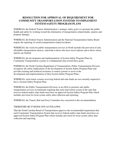# **RESOLUTION FOR APPROVAL OF REQUIREMENT FOR COMMUNITY TRANSPORTATION SYSTEMS TO IMPLEMENT SYSTEM SAFETY PROGRAM PLANS**

WHEREAS, the Federal Transit Administration's strategic safety goal is to promote the public health and safety by working toward the elimination of transportation related deaths, injuries and property damage;

WHEREAS, the Federal Transit Administration and the National Transportation Safety Board require the reporting of certain transportation related accidents;

WHEREAS, the vision for public transportation services in North includes the provision of safe, affordable transportation choices, statewide to those who have travel options and to those whose options are limited;

WHEREAS, the development and implementation of System Safety Program Plans by Community Transportation systems is a fundamental step toward these goals;

WHEREAS, the North Carolina Department of Transportation, Public Transportation Division recognizes the safety implications of the development of System Safety Program Plans and provides training and technical assistance to transit systems to assist in the development and implementation of their System Safety Program Plans;

WHEREAS, rural transit systems receiving federal and state funds are not currently required to have a System Safety Program Plan;

WHEREAS, the Public Transportation Division, in an effort to promote safe public transportation services recommends requiring that each rural transit system in the state that receives federal and/or state funds must have an approved System Safety Program Plan which includes provision for local system safety data collection and reporting;

WHEREAS, the Transit, Rail and Ferry Committee has concurred in this recommendation.

#### THEREFORE BE IT RESOLVED AS FOLLOWS:

That the North Carolina Board of Transportation approves the recommended requirement that each Community Transportation System that receives federal and/or state funds must have an approved System Safety Program Plan which includes provision for local system safety data collection and reporting.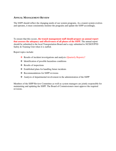# **ANNUAL MANAGEMENT REVIEW**

The SSPP should reflect the changing needs of our system programs. As a transit system evolves and operates, it must consistently monitor the programs and update the SSPP accordingly.

To ensure that this occurs, **the transit management staff should prepare an annual report that assesses the adequacy and effectiveness of all phases of the SSPP.** The annual report should be submitted to the local Transportation Board and a copy submitted to NCDOT/PTD Safety & Training Unit when it is staffed.

Report topics include:

- Results of incident investigations and analysis (Quarterly Reports)?
- $\triangleleft$  Identification of possible hazardous conditions
- $\triangleleft$  Results of inspections
- Established plans for handling future incidents
- ❖ Recommendations for SSPP revisions
- Analysis of departmental involvement in the administration of the SSPP

Members of the SSPP Review Committee as-well-as system managers are jointly responsible for maintaining and updating the SSPP. The Board of Commissioners must approve the required revisions.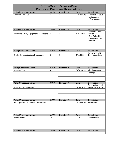| <b>SYSTEM SAFETY PROGRAM PLAN</b>           |                |                                            |             |                                       |
|---------------------------------------------|----------------|--------------------------------------------|-------------|---------------------------------------|
|                                             |                | <b>POLICY AND PROCEDURE REVISION INDEX</b> |             |                                       |
| <b>Policy/Procedure Name</b>                | SPP#           | <b>Revision#</b>                           | <b>Date</b> | <b>Description</b>                    |
| Lock Out Tag Out                            | 1              | 1                                          | 12/18/2015  | Lock out Tag out                      |
|                                             |                |                                            |             | Maintenance                           |
|                                             |                |                                            |             | safety procedure                      |
|                                             |                |                                            |             |                                       |
|                                             |                |                                            |             |                                       |
|                                             |                |                                            |             |                                       |
| <b>Policy/Procedure Name</b>                | SPP#           | <b>Revision #</b>                          | <b>Date</b> | <b>Description</b><br>On board Safety |
| On board Safety Equipment Regulations       | $\overline{2}$ | 1                                          | 12/16/2015  | Equipment                             |
|                                             |                |                                            |             | Seat Belts, Fire                      |
|                                             |                |                                            |             | Extinguisher, Red                     |
|                                             |                |                                            |             | reflectors.                           |
|                                             |                |                                            |             |                                       |
|                                             |                |                                            |             |                                       |
|                                             |                |                                            |             |                                       |
| <b>Policy/Procedure Name</b>                | SPP#           | <b>Revision#</b>                           | <b>Date</b> | <b>Description</b>                    |
| <b>Radio Communications Procedures</b>      | 3              | 1                                          | 1/11/2016   | Two way Radio<br>Communications       |
|                                             |                |                                            |             |                                       |
|                                             |                |                                            |             |                                       |
|                                             |                |                                            |             |                                       |
|                                             |                |                                            |             |                                       |
| <b>Policy/Procedure Name</b>                | SPP#           | <b>Revision #</b>                          | <b>Date</b> | <b>Description</b>                    |
| Camera Viewing                              | $\overline{4}$ | 1                                          | 04/01/2016  | Viewing Camera                        |
|                                             |                |                                            |             | footage                               |
|                                             |                |                                            |             |                                       |
|                                             |                |                                            |             |                                       |
|                                             |                |                                            |             |                                       |
| <b>Policy/Procedure Name</b>                | SPP#           | <b>Revision#</b>                           | <b>Date</b> | <b>Description</b>                    |
|                                             |                |                                            |             | Drug and Alcohol                      |
| Drug and Alcohol Policy                     | 5              |                                            | 02/08/2016  | Policy for SCATS                      |
|                                             |                |                                            |             |                                       |
|                                             |                |                                            |             |                                       |
|                                             |                |                                            |             |                                       |
| <b>Policy/Procedure Name</b>                | SPP#           | <b>Revision#</b>                           | <b>Date</b> | <b>Description</b>                    |
| <b>Emergency Action Plan for Evacuation</b> | $\overline{7}$ |                                            | 01/04/2016  | Evacuation                            |
|                                             |                |                                            |             |                                       |
|                                             |                |                                            |             |                                       |
|                                             |                |                                            |             |                                       |
|                                             |                |                                            |             |                                       |
| <b>Policy/Procedure Name</b>                | SPP#           | <b>Revision #</b>                          | <b>Date</b> | <b>Description</b>                    |
| <b>Asset Works</b>                          | 8              |                                            | 2015        | Maintenance                           |
|                                             |                |                                            |             |                                       |
|                                             |                |                                            |             |                                       |
|                                             |                |                                            |             |                                       |
|                                             |                |                                            |             |                                       |
| <b>Policy/Procedure Name</b>                | SPP#           | <b>Revision #</b>                          | <b>Date</b> | <b>Description</b>                    |
|                                             |                |                                            |             |                                       |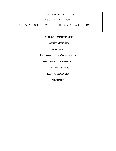# ORGANIZATIONAL STRUCTURE

FISCAL YEAR 2016

DEPARTMENT NUMBER 2590 DEPARTMENT NAME SCATS

**BOARD OF COMMISSIONERS**

**COUNTY MANAGER**

**DIRECTOR**

**TRANSPORTATION COORDINATOR**

**ADMINISTRATIVE ASSISTANT**

**FULL TIME DRIVERS**

**PART TIME DRIVERS**

**MECHANIC**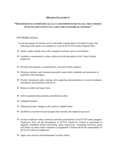# **MISSION STATEMENT**

# **"OUR MISSION IS TO PROVIDE ACCESS TO TRANSPORTATION TO ALL THE CITIZENS OF SCOTLAND COUNTY IN A SAFE AND ECONOMICAL MANNER."**

#### SYSTEMS GOALS

- As the lead agency for human service and public transportation in Scotland County, the following safety goals were adopted as a part of the SCATS Safety Program Plan:
- Instill a safety attitude and a safe workplace/customer service environment.
- Establish a commitment to safety within each job description of the Transit System employees.
- Develop and maintain a comprehensive, structured safety program.
- Develop, maintain, and communicate public transit safety standards and procedures to employees and passengers.
- Provide formalized safety training with supporting documentation to record attendance, information and materials covered, etc.
- Reduce accident and injury rates.
- $\triangle$  Select equipment that promotes and enhances safety.
- Safeguard hazards.
- Making necessary changes in the system to uphold safety.
- Establish an incentive/reward program that rewards safe employee practices.
- Increase employee safety awareness and their participation in the SCATS safety program. Employees from all job descriptions at SCATS should be trained to participate in regularly scheduled vehicle and facility safety inspections. Providing corrective action and follow up when unsafe conditions or equipment is found will be the responsibility of all SCATS staff and employees.
- ❖ Apply new research and development in safety efforts.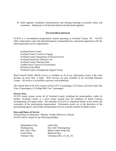Hold regularly scheduled communication and training meetings to promote safety and awareness. Employees in all job descriptions should attend regularly.

# **SYSTEM DESCRIPTION**

SCATS is a consolidated transportation system operating in Scotland County, NC. SCATS offers subscription route and demand/response transportation by contractual agreement with the following human service organization:

 Scotland Senior Center Scotland County Council on Aging Scotland County Department of Social Services Scotland Enterprises, Monarch, Inc. Scotland County Nutrition Sites Lumber River Council of Government Division of the Blind Scotland County Grandparents Support Group

Rural General Public (RGP) service is available on all of our subscription routes if the route deviates no more than .5 miles. RGP services are also available in the township Robeson County. All service is accessible to persons with disabilities.

The vehicle fleet of SCATS consists of (6) 22-FT 15 passengers LTV buses, (2) Ford Center Ilse Vans 13 passengers, (1) Dodge Mini Van 7 passengers

#### **Service Area**

SCATS transit system serves all of Scotland County including the municipalities within its borders. Scotland County is a rural county located near the southeast of North Carolina encompassing 319 square miles. The ridership of SCATS is comprised mainly of the clients and consumers of the participating organizations. Destination points are at the discretion of the participating agency and include transportation services to points outside Scotland County.

#### **Days and Hours of Service**

Normal Hours of Operation: Monday –Friday 8:00 am to 5:00 pm SCATS will be closed for the following holidays:

| Independence Day | Labor Day                   |
|------------------|-----------------------------|
| Thanksgiving     | Day After Thanksgiving      |
| New Year's Day   | Martin Luther King Day      |
| Good Friday      | <b>Memorial Day</b>         |
| Veterans' Day    | Christmas (Dec. 23, 26, 27) |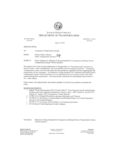

#### **STATE OF NORTH CAROLINA DEPARTMENT OF TRANSPORTATION**

PAT MCCRORY **GOVERNOR** 

ANTHONY J. TATA **SECRETARY** 

May 23, 2014

MEMORANDUM

| Community Transportation Systems |
|----------------------------------|
|                                  |

FROM: Debbie Collins, Director Public Transportation Division OC

SUBJECT: Policy Guidance for Minimum Training Standards for Community and Human Service Transportation System Vehicle Operators

The mission of the North Carolina Department of Transportation is "Connecting people and places in North Carolina - safely and efficiently, with accountability and environmental sensitivity." Community Transportation systems must meet all federal and state guidelines, regulations and laws regarding the safe transportation of their passengers. The Minimum Training Standards for Community and Human Service Transportation System Vehicle Operators are to be implemented by local systems as part of the effort toward meeting those requirements. This memorandum supersedes the memorandum dated October 1, 2011, same subject.

Please contact your regional safety and security specialist if you have any questions concerning this policy.

SOURCE DOCUMENTS

- 1. Federal Transit Administration (FTA) Circular 9040.1F "Non-Urbanized Area Formula Program Guidance and Grant Application Instructions" effective April 1, 2007, Section X (see 49 U.S.C. Chapter 53 - Section 5329: Investigation of Safety Hazards)
- 2. 29 CFR  $1910.1030(g)(2)$ -Bloodborne pathogens-Information and Training
- 3. 49 CFR 655.14-Prevention of Alcohol Misuse and Prohibited Drug Use in Transit Operations-**Education and Training Programs**
- 4. 49 CFR 37.173-Americans with Disabilities Act-Training requirements
- 5. NCGS Statute 95 and Department of Labor Guidance

Attachment:

Minimum Training Standards for Community and Human Service Transportation System Vehicle Operators

**MAILING ADDRESS:** NG DEPARTMENT OF TRANSPORTATION<br>PUBLIC TRANSPORTATION DIVISION 1550 MAIL SERVICE CENTER RALEIGH, NC 27699-1550

TELEPHONE: 919-707-4670 FAX: 919-733-1391

**LOCATION: TRANSPORTATION BUILDING** 1 SOUTH WILMINGTON STREET RALEIGH, NC

WWW.NCDOT.GOV/NCTRANSIT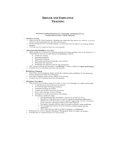# **DRIVER AND EMPLOYEE TRAINING**

#### Minimum Training Standards for Community and Human Service **Transportation System Vehicle Operators**

#### **Defensive Driving**

- Shall include all vehicle operators, including any employees that operate the vehicles in revenue service or carry passengers for any other trip purpose;
- Initial training must be a certified program, or curriculum must be equal to an existing certified  $\circ$ program.
- Training must be completed upon hire and annually.  $\circ$

#### Americans with Disabilities Act (ADA)

- Shall include at a minimum the following training (for further guidance refer to 49 CFR Part 37— Transportation Services for Individuals with Disabilities (ADA))
	- Sensitivity training ٠
	- $\bullet$ Passenger assistance
	- Wheelchair handling  $\bullet$
	- Wheelchair securement (passenger and mobility)
	- Wheelchair lift inspection
	- Wheelchair lift operation (normal and emergency)
- ADA requires training all personnel to "proficiency", which is defined as expert performance.  $\circ$ 
	- Training must be completed upon hire and annually.

#### **Bloodborne Pathogens**

- Shall follow the Occupational Safety and Health Administration guidelines for the training as  $\circ$ listed in Standard 29 CFR 1910.1030(g)(2)
- $\circ$ The OSHA Standard spells out the content of the training.
- Training must be completed upon hire and annually.  $\circ$

#### **Emergency Procedures**

- Shall include all procedures required to report or react to an emergency by transit system staff:  $\circ$ 
	- Communication and notification procedures  $\bullet$
	- Accident/Incident reporting procedures
	- Passenger handling procedures  $\bullet$
	- Vehicle and facility evacuation procedures
	- Driver and passenger security training
	- Emergency evacuation procedures and training  $\bullet$
	- Emergency equipment usage
		- " First aid (drivers must be trained in first aid to include use of kit)
		- a. Bloodborne Pathogens (drivers must be trained in bloodborne pathogens to include use of kit and transit system specific engineering controls to minimize driver exposure, cleanup procedures and waste disposal)
		- Emergency triangles (drivers must be trained to properly setup equipment)
		- Fire extinguishers (drivers must be trained to properly inspect and use
		- equipment)
		- Web cutter (drivers must be trained to properly use equipment)
- Participation in local or regional Emergency Management drills is strongly encouraged.  $\circ$
- Training must be completed upon hire and annually.  $\circ$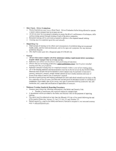#### Ride Check - Driver Evaluations

- Newly hired drivers must have a Ride Check Driver Evaluation before being allowed to operate  $\circ$ a transit vehicle unsupervised in revenue service.
- All drivers must have an annual evaluation to assess the driver's performance of techniques, skills  $\circ$ and knowledge gained through training of each of the above categories.
- o Remedial training will be provided as needed in addition to the required annual training.
- O Training must be completed upon hire and annually.

#### **Illegal Drug Use**

- o Shall include all training on the effects and consequences of prohibited drug use on personal health, safety, and the work environment, and on the signs and symptoms that may indicate prohibited drug use.
- o This shall be done upon hire. (Required under 49 CFR 655.14)

#### General

- o All new hires must complete all of the minimum training requirements before operating a transit vehicle unsupervised in revenue service.
- Reflective vest will be worn by drivers when performing job functions.  $\sim$
- O Drivers that are not meeting proficiency, expert performance level, must be given remedial training until they are proficient.
- o Refresher (annual) training must be completed annually (within 1-year of last training date).
- o All of the training materials and documentation must be on file for review by the NCDOT/PTD. Materials shall include but not be limited to course outline (may be included in instructor's manual), instructor's manual, sample student manual (if one is used), handouts and copy of Power Point slides if used in lieu of instructor's manual.
- Records of qualifications and training performed (for each individual trained) must be kept on file  $\circ$ for a minimum of five (5) years. Records shall include proof of attendance (roster or certificate of completion, if provided), date of the course, and type of instruction delivery (instructor led, selfinstruction, etc.), name and certification (if applicable) of instructor.

#### Minimum Training Standards Reporting Procedures

- Grantees must submit the following information to the Safety and Security Unit.  $\circ$ 
	- Number of employees who received training by category/type
- A spreadsheet will be provided by the Safety and Security Unit for the purposes of reporting training.
- o The report must be submitted no later than the fifteenth (15) day of the month following the end of the quarter (Dates due: January 15, April 15, July 15, and, October 15).
- o Submit reports by e-mail to the Safety and Security Specialist assigned to your area and courtesy copy to safetyptd@ncdot.gov.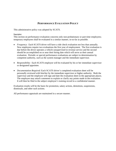# **PERFORMANCE EVALUATION POLICY**

This administrative policy was adopted by SCATS.

#### Description:

This section on performance evaluation concerns only non-probationary or part-time employees; temporary employees shall be evaluated in a similar manner, in-so-far as possible.

- *Frequency*: Each SCATS driver will have a ride check evaluation not less than annually. New employees require two evaluations the first year of employment. The first evaluation is due before the driver operates a vehicle unsupervised in revenue service and the second should be accomplished on or near their hiring date which will serve as their annual evaluation. Periodic or special performance evaluations are subject to determination by competent authority, such as the system manager and the immediate supervisor.
- *Responsibility*: Each SCATS employee will be evaluated by his or her immediate supervisor or designated appointee.
- *Documentation Required*: Each SCATS driver's completed evaluation sheet will be personally reviewed with him/her by the immediate supervisor or higher authority. Both the supervisor and the employee will sign and date the evaluation sheet in the appropriate places. The employee may attach comments to explain or clarify any points made in the evaluation. It will then be filed in the subject employee's training record in a confidential manner.

Evaluation results will be the basis for promotion, salary actions, demotions, suspensions, dismissals, and other such actions.

All performance appraisals are maintained in a secure manner.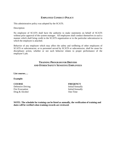# **EMPLOYEE CONDUCT POLICY**

This administrative policy was adopted by the SCATS.

Description:

No employee of SCATS shall have the authority to make statements on behalf of SCATS without prior approval of the system manager. All employees shall conduct themselves in such a manner which shall bring credit to the SCATS organization or to the particular subcontractor to which the employee is attached.

Behavior of any employee which may affect the safety and wellbeing of other employees of SCATS or subcontractor, or to personnel served by SCATS or subcontractor, shall be cause for disciplinary action, whether or not such behavior relates to proper performance of the employee's job.

# **TRAINING PROGRAM FOR DRIVERS AND OTHER SAFETY SENSITIVE EMPLOYEES**

#### **List courses….**

#### **Example:**

Defensive Driving Initial/Annually Fire Evacuation Initial/Annually Drug & Alcohol One-Time

#### **COURSE FREQENCY**

**NOTE: The schedule for training can be listed as annually, the verification of training and dates will be verified when training records are reviewed.**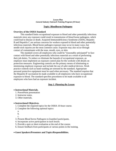#### *Lesson Plan General Industry Outreach Training Program (10-hour)*

#### **Topic: Bloodborne Pathogens**

#### **Overview of the OSHA Standard**

This standard limits occupational exposure to blood and other potentially infectious materials since any exposure could result in transmission of blood borne pathogens, which could lead to disease or death. Acquired Immunodeficiency Syndrome (AIDS), Hepatitis B and Hepatitis C are serious concerns for workers exposed to blood and other potentially infectious materials. Blood borne pathogen exposure may occur in many ways, but needle stick injuries are the most common cause. Exposure may also occur through contact of contaminants with the nose, mouth, eyes, or skin.

The standard covers all employees who could be "reasonably anticipated" to face contact with blood and other potentially infectious materials as a result of performing their job duties. To reduce or eliminate the hazards of occupational exposure, an employer must implement an exposure control plan for the worksite with details on protection measures. Engineering controls are the primary means of eliminating or minimizing employee exposure and include the use of safer medical devices. Work practice controls such as hand washing are stressed by the standard. Appropriate personal protective equipment must be used when necessary. The standard requires that the Hepatitis B vaccination be made available to all employees who have occupational exposure to blood. The standard specifies procedures to be made available to all employees who have had an exposure incident.

#### *Step 1: Planning the Lesson*

#### **Instructional Materials.**

- 1. PowerPoint presentation
- 2. Instructor notes.
- 3. Other materials.

#### **Instructional Objectives.**

- 1. Complete the required topics for the OSHA 10-hour course.
- 2. Complete the following optional topics:
	- a.
	- b.
	- c.
- 3. Present *Blood borne Pathogens* to [number] participants.
- 4. Incorporate active participation in each lesson.
- 5. Provide a quiz or short evaluation at the end of the course.
- 6. Ensure feedback from participants at various points in the training.

#### **Guest Speakers/Presenters and Topics/Responsibilities.**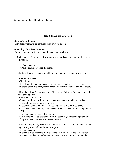Sample Lesson Plan – Blood borne Pathogens

# *Step 2: Presenting the Lesson*

#### **Lesson Introduction.**

Introductory remarks or transition from previous lesson.

#### **Learning Objectives/Outcomes.**

Upon completion of the lesson, participants will be able to:

1. Give at least 3 examples of workers who are at risk of exposure to blood borne pathogens.

#### *Possible responses.*

- Physician, nurse, police, firefighter
- 2. List the three ways exposure to blood borne pathogens commonly occurs.

#### *Possible responses.*

- Needle sticks.
- Cuts from other contaminated sharps such as scalpels or broken glass.
- Contact of the eye, nose, mouth or cut/abraded skin with contaminated blood*.*

#### 3. Describe at least 5 key aspects of a Blood borne Pathogen Exposure Control Plan.  *Possible responses.*

- Must be a written plan.
- Identifies jobs and tasks where occupational exposure to blood or other potentially infectious material occurs.
- Describes how the employer will use engineering and work controls.
- Describes how the employee will ensure use of personal protective equipment (PPE).
- The plan must be accessible to employees.
- Must be reviewed at least annually to reflect changes in technology that will help eliminate or reduce employee exposure.
- 4. Explain how properly used PPE and appropriate housekeeping methods protect against exposure to blood borne pathogens.

#### *Possible responses.*

Gowns, gloves, face shields, eye protection, mouthpieces and resuscitation devices provide a barrier between potential contaminants and susceptible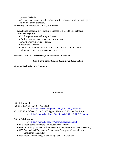parts of the body.

- Cleaning and decontamination of work surfaces reduce the chances of exposure to a blood borne pathogen.
- **Learning Objectives/Outcomes (Continued)** 
	- 1. List three important steps to take if exposed to a blood borne pathogen. *Possible responses.* 
		- Wash exposed area with soap and water.
		- Flush splashes to nose, mouth or skin with water.
		- Irrigate eyes with water or saline.
		- Report the exposure.
		- Seek the assistance of a health care professional to determine what follow-up actions or treatment may be needed.
- **Planned Activities, Discussion, or Participant Interaction.**

#### *Step 3: Evaluating Student Learning and Instruction*

**Lesson Evaluation and Comments.**

#### *\References*

#### **OSHA Standard**

29 CFR 1910 Subpart Z (1910.1030)

http://www.osha-slc.gov/OshStd\_data/1910\_1030.html

- 29 CFR 1910 Subpart Z (1910.1030 App A) Hepatitis B Vaccine Declination
	- http://www.osha-slc.gov/OshStd\_data/1910\_1030\_APP\_A.html

#### **OSHA Publications**

- http://www.osha-slc.gov/OshDoc/Additional.html
- 3128 Blood borne Pathogens and Acute Care Facilities
- 3129 Controlling Occupational Exposure to Blood borne Pathogens in Dentistry
- 3130 Occupational Exposure to Blood borne Pathogens Precautions for Emergency Responders
- 3131 Blood borne Pathogens and Long-Term Care Workers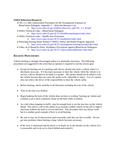#### **OSHA References/Resources**

- CPL 2-2, 44D, Enforcement Procedures for the Occupational Exposure to Blood borne Pathogens, Appendix C – Web Site Resource List
	- http://www.osha-slc.gov/OshDoc/Directive\_pdf/CPL\_2-2\_69.pdf
- OSHA Technical Links Blood borne Pathogens http://www.osha-slc.gov/SLTC/bloodbornepathogens/index.html
- OSHA Technical Links Needle stick Prevention
	- http://www.osha-slc.gov/SLTC/needlestick/index.html
- Protecting Nursing Home Workers: OSHA's Safety and Health Program Approach
	- http://www.osha-slc.gov/SLTC/nursinghome/training/nursing/index.html
- Video: *As It Should be Done: Workplace Precautions Against Blood borne Pathogens* 
	- http://www.osha-slc.gov/SLTC/video/asitshouldbedone/video.html

# **BACKING PROCEDURES**

Vehicle backing is strongly discouraged unless it is absolutely necessary. The following procedures are suggested in the event that an operator is required to use the reverse gear:

- Except for backing out of a parking stall, drivers should only back a vehicle when it is absolutely necessary. If it becomes necessary to back the vehicle while the vehicle is in service, a driver should use an adult as a spotter. The spotter should not be asked to exit the vehicle because that can cause the spotter to be vulnerable to injury. Use of a spotter does not relieve the driver of the responsibility to back the vehicle safely.
- Before backing, check carefully in all directions including the rear of the vehicle.
- Turn on the four-way flashers.
- Begin honking the horn (if the vehicle does not have a working 'backing-up' alarm) and continue to give short continuous beeps on the horn while in motion.
- As a rule when stopping in traffic, stop far enough back to see the rear tires on the vehicle ahead. This allows a driver the ability to go around a stalled vehicle on the left or right if necessary without the need to reverse direction. This procedure does not always work but it is another good example of how to avoid backing.
- Be sure to stay out of intersections and crosswalks until they are free to traffic. Do not get into positions where backing a large vehicle becomes necessary.
- If the view is obstructed and the driver is in doubt, he or she should exit the vehicle (if it is reasonable safe to do so) to check behind and around it.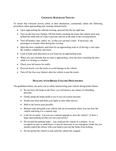# **CROSSING RAILROAD TRACKS**

To insure that everyone arrives safely at their destination, consistently utilize the following procedures when approaching and crossing railroad tracks:

- Upon approaching the railroad crossing, proceed into the far right lane.
- Turn on the four-way flashers 100 feet before reaching the tracks the vehicle must stop behind the white line (if a line is present) and not in the path of the crossing barrier.
- Turn off heaters, fans, radios, etc. so that you can hear a train. If necessary, ask passengers to remain silent during the crossing.
- Open the door completely and listen for an approaching train or (if driving a van) open the window completely and listen.
- Look in both track directions as you listen for an approaching train.
- When you can conclude that no train is approaching, close the door (watching the door while it is closing) or window.
- Check your left mirror for traffic.
- Proceed slowly over the tracks to avoid damage to the vehicle.
- Turn off the four-way flashers after the vehicle is past the tracks.

# **DEALING WITH BRAKE FAILURE PROCEDURES**

The guidelines below can assist you in safely maneuvering your vehicle during brake failure:

- Do not force the brake to the floor; you will destroy any chance of rebuilding pressure.
- Gently pump the brake pedal to see if you can restore pressure.
- Sound your horn and flash your lights to alert other drivers.
- Shift to the lowest gear possible.
- Remain calm and guide your vehicle into an environment where you can slow the vehicle and bring it to a natural stop.
- Look for an outlet. Can you use a natural upgrade to slow the vehicle? Is there a large open parking lot that you can coast across?
- Do not pull the parking brake you could put the vehicle in a tailspin. As an exception in vans or small buses, it may be necessary to use emergency brake but you should control the release with your hand to prevent the brake from locking.
- Do not permit the wheels to lock until the vehicle has stopped.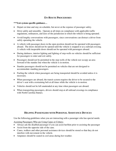# **EN-ROUTE PROCEDURES**

#### **\*\*\*List system specific guidance…**

- Depart on time and stay on schedule, but never at the expense of passenger safety.
- Drive safely and smoothly. Operate at all times on compliance with applicable traffic regulations, ordinances, and laws of the jurisdiction in which the vehicle is being operated.
- Avoid lengthy conversations with passengers, since conversations can distract a driver from safely operating the vehicle.
- A vehicle with passenger doors in the open position should not be operated with passengers aboard. The doors should not be opened until the vehicle is stopped or at a railroad crossing. A vehicle with inoperable doors should not be operated with passengers aboard.
- During darkness, interior lighting and lighting of step-wells on vehicles should be sufficient for passengers to enter and exit safely.
- Passengers should not be permitted in the step-wells of the vehicle nor occupy an area forward of the standee line when the vehicle is in motion.
- Standee passengers should not be permitted on vehicles that are not designed to accommodate standing passengers.
- Fueling the vehicle when passengers are being transported should be avoided unless it is necessary.
- When passengers are aboard, the transit system requires the driver to be secured to the driver's seat with a restraining belt at all times while the vehicle is in motion.
- Vehicles should not be left unattended at any time when passengers are aboard.
- When transporting passengers, drivers should stop at all railroad crossings in compliance with North Carolina Statues.

# **HELPING PASSENGERS WITH PERSONAL ASSISTANCE DEVICES**

Use the following guidelines when you are interacting with a passenger who has special needs:

Assisting Passengers Who are Using Canes or Critters:

- Always ask the disabled passenger if you can assist her/him prior to assisting the passenger
- Assist from the opposite side of the cane.
- Canes, walkers and other personal assistance devices should be stored so that they do not interfere with movement in the vehicle.
- Amputees should be seated in cool areas during hot weather.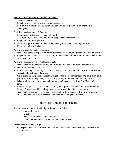Assisting Developmentally Disabled Passengers:

- Treat the passengers with respect.
- Be patient and repeat instructions when necessary.
- Be firm if they insist on doing something that will endanger you, them or the other passengers.

Assisting Hearing-Impaired Passengers:

- Look directly at them so they can see your lips.
- Talk normally (do not shout) and do not exaggerate your speech.
- Be prepared to repeat yourself.
- Get another person to talk to them if the passenger has trouble reading your lips.
- Use a pad and pencil when

#### Assisting Speech-Impaired Passengers:

- Do not hesitate to ask speech-impaired persons to repeat anything that you do not understand.
- Be patient; the passenger's speech condition may become more difficult to understand if the passenger is under stress.

Assisting Passengers with Visual Impairments:

- Don't touch the passenger until you tell them who you are and what you intend to do.
- Do not shout at the passenger.
- Before boarding the passenger, take their hand and show them the door openings as well as the seat and mention any hazards.
- When escorting the passenger, remain on the opposite side of their cane and have them hold your arm. Advise the passenger of any changes in ground texture or elevation level.
- When walking with a passenger, call out turns and maneuvers at least five (5) steps in advance.
- If the passenger uses a service animal, it may be helpful to lean the name of the animal for future reference. Avoid any abrupt movements toward the animal or the passengers.
- Seat visually impaired passengers against vehicle walls when possible or seat the passengers in SCATS with arm rests in order to assist them in keeping their balance.

# **NIGHT TIME DRIVING PROCEDURES**

Several hazards associated with night driving are list below:

- Reduced visibility
- Glare
- The need for increased reaction time
- An increased number of tired and intoxicated drivers

Procedures for driving at night:

• Inspect and clean your headlights, taillights, windshield, clearance lights, reflectors and turn signals.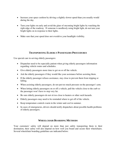- Increase your space cushion by driving a slightly slower speed than you usually would during the day.
- Turn your lights on early and avoid the glare of oncoming bright lights by watching the right edge of the roadway. If someone is needlessly using bright light, do not turn your bright lights on in response to their lights.
- Make sure that your speed does not overdrive your headlight visibility.

# **TRANSPORTING ELDERLY PASSENGERS PROCEDURES**

Use special care in serving elderly passengers:

- Dispatcher need to be especially patient when giving elderly passengers information regarding vehicle routes and schedules.
- Give elderly passengers more time to get on or off the vehicle.
- Ask the elderly passengers if they would like your assistance before assisting them.
- If the elderly passenger refuses assistance, stay close to prevent them from tripping or falling.
- When assisting elderly passengers, do not put too much pressure on the passenger's arm.
- When letting elderly passengers on or off a vehicle, pull the vehicle close to the curb so the passenger won't have to step very far.
- Be sure elderly passengers do not sit too close to heaters or other such hazards.
- Elderly passengers may need to be reminded where to get off of the vehicle.
- Keep temperature controls warm in the winter and cool in summer.
- In cases of emergencies, drivers should notify dispatchers about possible health problems of elderly passengers.

# **WHEELCHAIR BOARDING METHODS**

Your customers' safety will depend on more than just safely transporting them to their destination, their safety will also depend on how well you board and secure their wheelchairs. Several wheelchair boarding guidelines are indicated below: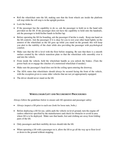- Roll the wheelchair onto the lift, making sure that the front wheels are inside the platform roll stop while the roll stop is in the upright position.
- Lock the brakes.
- If the passenger has the capability to do so, ask the passenger to hold on to the hand rails provided on the lift. If the passenger does not have the capability to hold onto the handrails, ask the passenger to hold his/her hands in his/her lap.
- Before operating the lift for boarding, ask the passenger if he/she is ready. Keep one hand on the lift controls. Ask the passenger if it is okay for you to rest your other hand lightly on the armrest of the wheelchair as the lift goes up while you stand on the ground; this will keep you alert to the stability of the chair while also providing the passenger with psychological comfort.
- Make sure that the lift is level with the floor before stopping. Be sure that there is a smooth surface created by the vehicle transition plate so that the wheelchair rolls smoothly over it and into the vehicle.
- From inside the vehicle, hold the wheelchair handle as you unlock the brakes. (Turn the power back on or engage the clutches of a motorized wheelchair if needed.)
- Make sure the passenger's head does not hit the ceiling upon entering the doorway.
- The ADA states that wheelchairs should always be secured facing the front of the vehicle, with the exception given to some older vehicles that are not yet appropriately equipped.
- The driver should never stand on the lift.

# **WHEELCHAIR LIFT AND SECUREMENT PROCEDURES**

Always follow the guidelines below to ensure safe lift operation and passenger safety:

- Always inspect a lift prior to each use (look for loose nuts, bolts,)
- Before deploying a lift for use, safely park the vehicle on level ground, turn the engine off (unless otherwise specified by the manufacturer) and check for obstacles to avoid in area where lift is to be deployed. Make sure that hands, feet and clothing are away from folding parts of the lift.
- Only passengers and their mobility devices should ride the lift.
- When operating a lift with a passenger on it, allow the lift to go all the way up to floor level or down to the ground without stopping.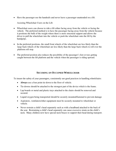Have the passenger use the handrails and never leave a passenger unattended on a lift.

Assisting Wheelchair Users on the Lift:

- Wheelchair users can choose to ride a lift either facing away from the vehicle or facing the vehicle. The preferred method is to have the passenger facing away from the vehicle because it positions the bulk of the weight where there is more structural support and allows the driver to pull the wheelchair into the vehicle or push the wheelchair onto the lift by the handgrips.
- In the preferred positions, the small front wheels of the wheelchair are less likely than the large back wheels of the wheelchair are less likely than the large back wheels to roll over the platform roll stop.
- The preferred position also reduces the possibility of the passenger's feet or toes getting caught between the lift platform and the vehicle when the passenger is riding upward.

# **SECURING AN OCCUPIED WHEELCHAIR**

To insure the safety of your passengers, consistently use good practices in handling wheelchairs:

- **Always** use a four point tie-down to the floor of vehicle.
- Tie-downs should be attached to the strongest part of the device which is the frame.
- Lap boards or metal and plastic trays attached to the chairs should be removed and secured.
- Liquid oxygen being transported should be securely mounted/fastened to prevent damage
- Aspirators, ventilators/other equipment must be securely mounted to wheelchair or vehicle.
- Never restrain a child's head separately such as with a headband attached to the back of the seat. Restraining a child's head separately can cause excessive strain on the child's neck. Many children now have special neck braces to support their head during transport.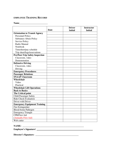# **EMPLOYEE TRAINING RECORD**

#### **Name\_\_\_\_\_\_\_\_\_\_\_\_\_\_\_\_\_\_\_\_\_\_\_\_\_\_\_\_\_\_\_\_**

|                                        | <b>Date</b> | <b>Driver</b><br><b>Initial</b> | <b>Instructor</b><br><b>Initial</b> |
|----------------------------------------|-------------|---------------------------------|-------------------------------------|
| <b>Orientation to Transit Agency</b>   |             |                                 |                                     |
| <b>Personnel Policy</b>                |             |                                 |                                     |
| <b>Substance Abuse Policy</b>          |             |                                 |                                     |
| <b>Service Policy</b>                  |             |                                 |                                     |
| Radio Manual                           |             |                                 |                                     |
| Notebook                               |             |                                 |                                     |
| Timesheet/pay schedule                 |             |                                 |                                     |
| Trip sheet/logs/reservations           |             |                                 |                                     |
| <b>Pre/Post-Trip Safety Inspection</b> |             |                                 |                                     |
| Classroom, video                       |             |                                 |                                     |
| Demonstration                          |             |                                 |                                     |
| <b>Defensive Driving</b>               |             |                                 |                                     |
| Classroom, video                       |             |                                 |                                     |
| Driving                                |             |                                 |                                     |
| <b>Emergency Procedures</b>            |             |                                 |                                     |
| <b>Passenger Relations</b>             |             |                                 |                                     |
| <b>SNAAP Classroom</b>                 |             |                                 |                                     |
| Wheelchair                             |             |                                 |                                     |
| Video                                  |             |                                 |                                     |
| Practical                              |             |                                 |                                     |
| <b>Wheelchair Lift Operations</b>      |             |                                 |                                     |
| <b>Back to Basics</b>                  |             |                                 |                                     |
| <b>The Critical point</b>              |             |                                 |                                     |
| <b>Child Passenger Safety</b>          |             |                                 |                                     |
| <b>Ride Check Evaluation</b>           |             |                                 |                                     |
| Driver with Driver                     |             |                                 |                                     |
| <b>Emergency Equipment Training</b>    |             |                                 |                                     |
| Fire Extinguisher                      |             |                                 |                                     |
| <b>Blood-borne Pathogen</b>            |             |                                 |                                     |
| <b>Emergency Triangle</b>              |             |                                 |                                     |
| <b>CPR/First Aid</b>                   |             |                                 |                                     |
| (Annually First Aid)                   |             |                                 |                                     |
| Web cutter                             |             |                                 |                                     |

# **NAME: \_\_\_\_\_\_\_\_\_\_\_\_\_\_\_\_\_\_\_\_\_\_\_\_\_\_\_\_\_\_\_\_\_\_\_\_\_\_\_\_\_\_\_\_\_\_\_\_\_\_\_\_\_\_**

**Employee's Signature: \_\_\_\_\_\_\_\_\_\_\_\_\_\_\_\_\_\_\_\_\_\_\_\_\_\_\_\_\_\_\_\_\_\_\_\_\_** 

**Director's Signature: \_\_\_\_\_\_\_\_\_\_\_\_\_\_\_\_\_\_\_\_\_\_\_\_\_\_\_\_\_\_\_\_\_\_\_\_\_\_**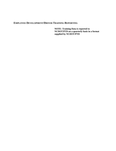# **EMPLOYEE DEVELOPMENT/DRIVER TRAINING REPORTING**

**NOTE: Training Data is reported to NCDOT/PTD on a quarterly basis in a format supplied by NCDOT/PTD**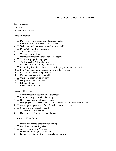# **RIDE CHECK: DRIVER EVALUATION**

Date of Evaluation

Driver's Name

Evaluator's Name/Position

#### Vehicle Condition

- 1.  $\Box$  Daily pre-trip inspection complete/documented
- 2.  $\Box$  Registration and insurance card in vehicle
- 3.  $\Box$  Web cutter and emergency triangles are available
- 4.  $\Box$  Driver's license/logs with driver
- $5. \Box$  Vehicle exterior clean
- 6.  $\Box$  Vehicle interior clean
- 7.  $\Box$  Dashboard/windshield area clear of all objects
- 8.  $\Box$  Tie downs properly employed
- 9.  $\Box$  Tie downs clean/ stowed in box
- 10.  $\Box$  Seat belts in good working condition
- 11.  $\Box$  Fire extinguisher is available, serviceable, properly mounted/tagged
- 12.  $\Box$  First Aid/Blood borne pathogen kit available in vehicle
- 13.  $\Box$  Flash light working (if applicable)
- 14.  $\Box$  Communications system operable
- 15.  $\Box$  Child seat used/stowed properly
- 16.  $\Box$  Daily defect report filled out
- 17.  $\Box$  Lift operational check
- 18.  $\Box$  Keeps logs up to date

#### Passenger Reception

- 1.  $\Box$  Confirms identity/destination of passenger
- 2.  $\Box$  Present at entry door while boarding
- $3. \Box$  Greets passenger in a friendly manner
- 4.  $\Box$  Uses proper assistance techniques (What are the driver's responsibilities?)
- 5.  $\Box$  Assists passengers to and from the vehicle door if needed
- 6.  $\Box$  Stops proper distance from curb
- 7.  $\Box$  Avoids use of AM/FM radio
- 8.  $\Box$  Uses correct ADA language at all times

#### Performance While Enroute

- 1.  $\Box$  Driver uses correct posture when driving
- 2.  $\Box$  Both hands on steering wheel
- 3.  $\Box$  Appropriate uniform/footwear
- 4.  $\Box$  Driver and passengers use seatbelts
- 5.  $\Box$  Driver gets out of vehicle and looks before backing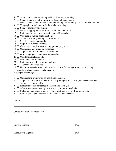- 6.  $\Box$  Adjust mirrors before moving vehicle. Keeps eyes moving
- 7.  $\Box$  Signals entry into traffic every time. Leaves himself an out
- 8.  $\Box$  Moves vehicle smoothly while slowing braking and stopping. Make sure they see you
- 9.  $\Box$  Telegraphs use of brake or flashers when stopping
- 10.  $\Box$  Squares corners when turning
- 11.  $\Box$  Moves at appropriate speeds for current road conditions
- 12.  $\Box$  Maintains following distance safety zone (4 seconds)
- 13.  $\Box$  Uses proper caution at intersections
- 14.  $\Box$  Anticipates stale green lights (slows down)
- 15.  $\Box$  SCATS passengers properly
- 16.  $\Box$  Stops at all railroad crossings
- 17.  $\Box$  Comes to a complete stop, leaving private property
- 18.  $\Box$  Uses proper lane changing procedure
- 19.  $\Box$  Stops behind line or plane at intersections
- 20.  $\Box$  Observes proper communication procedures
- 21.  $\Box$  Uses turn signals properly
- 22.  $\Box$  Maintains order in vehicle
- 23.  $\Box$  Maintains scheduled stops and pick-ups
- 24.  $\Box$  Avoids unauthorized stops
- 25.  $\Box$  Uses four second distance rule, adds seconds to following distance when driving conditions change…keep safety cushion

#### **Passenger Discharge**

- 1.  $\Box$  Uses parking brake when de-boarding passengers
- 2.  $\Box$  Stops proper distance from curb. Assist passengers off vehicle (when needed or when passengers request help)
- 3.  $\Box$  Renders adequate assistance to wheelchair passengers
- 4.  $\Box$  Advises Base when leaving vehicle and upon return to vehicle
- 5.  $\Box$  Makes sure passenger is safely inside of destination before leaving property
- 6.  $\Box$  Follows passengers instruction for assistance when needed

Comments and the comments of the comments of the comments of the comments of the comments of the comments of the comments of the comments of the comments of the comments of the comments of the comments of the comments of t

 $\overline{a}$ 

 $\overline{a}$ 

Course of Action (required/taken)

Driver's Signature Date

Supervisor's Signature Date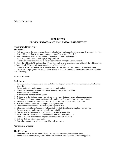Driver's Comments

# **RIDE CHECK DRIVER PERFORMANCE EVALUATION EXPLANATION**

#### **PASSENGER RECEPTION**

#### **The Driver…**

- 1. Asks the name of the passenger and the destination before boarding, unless the passenger is a subscription rider.
- 2. Is available at the door to assist the passenger on or off the vehicle (if needed).
- 3. Acts courteously, offers help by asking, "may I help" or "how may I help you?"
- 4. Follows guidance from the passenger, if help is needed.
- 5. Uses the passenger's instructions to assist in boarding and exiting the vehicle, if needed.

6. Stops the vehicle six (6) inches or four (4) feet from curb to keep passengers from falling off the vehicle as they load and unload. (This depends on the stopping or parking situation.)

7. Uses AM or FM radio only when passengers are not aboard, then only for the news and weather forecast.

8. Uses correct language under ADA guidelines. (Refer to the ADA handout given to drivers who have taken the SNAAP training.)

#### *VEHICLE CONDITION*

#### **The Driver…**

- 1. Performs a pre-trip inspection and completely fills out the pre-trip inspection form before starting the first run of the day.
- 2. Ensure registration and insurance cards are current and available.
- 3. Has driver license in possession and current route logs on person at all times.
- 4. Vehicle is clean on exterior.
- 5. Vehicle is kept clean inside at all times.
- 6. Nothing is on the dashboard, rear view mirror, or sun visors that could create a hazardous situation.
- 7. Safely attaches tie down straps into floor tracks, and use the four-point tie down on wheelchairs.
- 8. Removes tie downs from floor after each use. Stores tie down straps in their proper place.
- 9. Seat belts/tie down straps are not tangled, missing or broken.
- 10. Checks fire extinguisher for serviceability and expiration date.
- 11. Checks the first aid and Bloodborne Pathogen Kits regularly (PPE) and re-supplies when needed.
- 12. Ensures web cutter and emergency triangles are available.
- 13. Checks batteries daily to make sure flashlight is usable. (If applicable)
- 14. Tests the two-way radio and/or other communication device for operability.
- 15. Child SCATS are placed in vehicle properly and stowed when not in use.
- 16. Fills out daily defect report correctly.
- 17. Keeps logs up to date as trip is completed for each passenger.

#### *PERFORMANCE ENROUTE*

#### **The Driver…**

- 1. Does not slouch in the seat while driving. Arms are not on or out of the window frame.
- 2. Both hands are on the steering wheel at the 9 and 3 or the 10 and 2 position. Gets the big picture.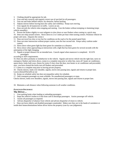3. Clothing should be appropriate for job.

- 4. Uses seat belt correctly and requires correct use of seat belt for all passengers.
- 5. Gets out and looks behind vehicle, for obstacles, before backing.
- 6. Adjusts mirrors before leaving base (for safety and visibility). Keeps eyes moving.
- 7. Uses signals for all maneuvers in traffic. Leaves an out.

8. Does not jerk the vehicle when stopping and starting. Uses the brakes without stomping or slamming (stops vehicle smoothly).

9. Presses the brakes slightly to warn tailgaters to slow down or uses flashers when coming to a quick stop.

10. Does not whip around corners. Slows down to 2 to 5 miles per hour when turning corners. Positions vehicle for proper safe turns. (Squares the corner.)

- 11. Does not travel too slow or too fast for conditions on the road or for the posted speed limit.
- 12. Does not enter intersection without proper caution, uses the four second rule. Keeps safety cushion under control.
- 13. Slows down when green light has been green for sometime at a distance.

14. Slows down when approaching an intersection with a light that has been green for several seconds with the anticipation of the light changing.

- 15. Signals at proper distance for an intended turn. Cancels signal when maneuver is completed. SCATS passengers
- according to ADA requirements.

16. Does not allow profanity or misbehavior in the vehicle. Signals and moves vehicle into the right lane, turns on emergency flashers and slows down, comes to a complete stop prior to white line, turns off heater air conditioner, opens doors, looks both ways, listens for trains if clear close the door, turn heater or air conditioner and proceeded, once you have cleared the tracks turn off flashers and proceeded.

17. Comes to a complete stop prior to leaving private property.

18. Checks mirrors, looks over shoulder, signals, moves into passing lane, signals and returns to proper lane.

Leaves (himself/herself) an out

16. Keeps on schedule safely but does not jeopardize safety for schedule.

17. Only transports passenger on route schedule. No unauthorized passengers or stops.

Checks mirrors, looks over shoulders, signals, moves into passing lane, signals and returns to proper lane.

18. Maintains a safe distance when following someone in all weather conditions.

#### *PASSENGER DISCHARGE:*

#### **The Driver…**

1. Uses parking brake when loading or unloading passengers.

- 2. Stops the vehicle 6 inches to 4 feet from curb to discharge passengers. Assists passenger off vehicle.
- 3. Assists all passengers as required.
- 4. Advises dispatcher of absence from vehicle and advises dispatcher of return to vehicle.

5. Does not leave elderly and disabled passengers unattended. Makes sure they are in the hands of caretakers or inside their homes/destinations before driver leaves the property (case by case judgments).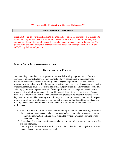**\*\* Operated by Contractor or Services Outsourced\*\***

#### **MANAGEMENT REVIEWS**

There must be an effective mechanism to monitor and document the contractor's activities. An acceptable program would consist of periodic written reports of activities submitted by the contractor to the grantee, supplemented by periodic oversight inspections by the grantee. The grantee must provide oversight in order to verify the contractor's compliance with FTA and NCDOT regulations and polices.

#### **SAFETY DATA ACQUISITION/ANALYSIS**

#### **DESCRIPTION OF ELEMENT**

Understanding safety data is an important step toward allocating important (and often scarce) resources to implement safety program elements. Safety data relative to transit provider operations can be used to determine safety trends in system operation. The data include information gathered from within the system on safety-related events such as passenger injuries or claims, employee injuries, accidents, incidents, and preventability. Driver reports (sometimes called logs) can be an important source of safety problems, such as dangerous stop locations, problems with vehicle equipment, safety problems with the route, and other issues. The data is useful in a formal hazard identification and resolution process to help identify hazards before they cause accidents. The data may also help improve system performance, not only in respect to safety, but also in overall delivery of service to the riding public. In addition, trend analyses of safety data can help determine the effectiveness of safety initiatives that have been implemented.

- A. One of the most important services the safety unit provides for the transit organization is the collection, maintenance, and distribution of safety data relative to system operation.
	- Includes information gathered from within the system on various operating events relative to safety.
- B. Analysis of this system specific data can be used to determine trends and patterns in the systems operation.
- C. Used as part of the Hazard Resolution Process, data collection and analysis can be used to identify hazards before they cause accidents.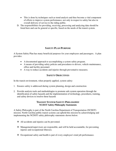- This is done by techniques such as trend analysis and thus become a vital component of efforts to improve system performance, not only in respect to safety but also in overall delivery of service to the riding public.
- D. The responsibilities for providing, receiving, processing and analyzing data should be listed here and can be general or specific, based on the needs of the transit system.

# **SAFETY PLAN PURPOSE**

A System Safety Plan has many beneficial purposes for your employees and passengers. A plan provides:

- A documented approach to accomplishing a system safety program.
- A means of providing safety policies and procedures to drivers, vehicle maintenance, office and facility personnel.
- A way to reduce accidents and injuries through preventative measures.

# **SAFETY OBJECTIVES**

In the transit environment, when properly applied, system safety:

- 1. Ensures safety is addressed during system planning, design and construction
- 2. Provide analysis tools and methodologies to promote safe system operation through the identification of safety hazards and the implementation of technology, procedures, training, and safety devices to resolve these hazards

#### **TRANSIT SYSTEM SAFETY PHILOSOPHY NCDOT Safety Philosophy Statements**

A Safety Philosophy is part of the North Carolina Department of Transportation (NCDOT) mission. North Carolina public transit systems can uphold this mission by acknowledging and implementing the NCDOT safety philosophy statements shown below:

- All accidents and injuries can be prevented.
- Management/supervisors are responsible, and will be held accountable, for preventing injuries and occupational illnesses.
- Occupational safety and health is part of every employee's total job performance.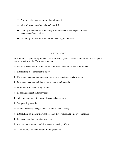- Working safely is a condition of employment.
- **❖** All workplace hazards can be safeguarded.
- $\triangle$  Training employees to work safely is essential and is the responsibility of management/supervision.
- $\triangle$  Preventing personal injuries and accidents is good business.

# **SAFETY GOALS**

As a public transportation provider in North Carolina, transit systems should utilize and uphold statewide safety goals. These goals include:

- $\triangle$  Instilling a safety attitude and a safe work place/customer service environment
- Establishing a commitment to safety
- Developing and maintaining a comprehensive, structured safety program
- Developing and maintaining safety standards and procedures
- $\triangle$  Providing formalized safety training
- $\triangleleft$  Reducing accident and injury rates
- $\triangle$  Selecting equipment that promotes and enhances safety
- Safeguarding hazards
- $\triangleleft$  Making necessary changes in the system to uphold safety
- Establishing an incentive/reward program that rewards safe employee practices
- $\triangleleft$  Increasing employee safety awareness
- ❖ Applying new research and development in safety efforts
- **❖** Meet NCDOT/PTD minimum training standard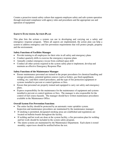Creates a proactive transit safety culture that supports employee safety and safe system operation through motivated compliance with agency rules and procedures and the appropriate use and operation of equipment

# **SAFETY FUNCTIONS ACTION PLAN**

This plan lists the actions a system can use in developing and carrying out a safety and emergency response program. When all aspects are implemented, the action plan can help a system to address emergency and fire prevention requirements that will protect people, property and the environment.

# **Safety Functions of Facilities Manager**

- Provide training to all employees for their roles in all safety and emergency plans
- Conduct quarterly drills to exercise the emergency response plans
- Annually conduct emergency rescue from confined space drill
- Conduct all other actions required in the system safety plan to implement, develop and maintain an effective Emergency Response Plan

# **Safety Functions of the Maintenance Manager**

- Ensure maintenance personnel are trained in the proper procedures for chemical handling and storage procedures, potential ignition sources (such as boilers, gas fired equip0ment, welding, etc.) and their control procedures, and the type of fire protection equipment or systems installed to prevent or control ignitions or fires.
- Ensure that personnel are properly trained and equipped to carry out safety and emergency plans.
- Express responsibility for the maintenance for the maintenance of equipment and systems installed to prevent or control ignitions or fires. The manager is also responsible for the control of fuel source hazards. The manager should have written maintenance procedures available in the Maintenance Office.

# **Overall System Fire Prevention Functions**

- The entire facility should be protected by an automatic water sprinkler system. Inspection and maintenance procedures are maintained by the maintenance manager.
- If smoking is permitted, designated smoking areas are established and regulations are located on bulletin boards throughout the facility.
- If welding and hot work are done at the system facility, a fire prevention plan for welding and hot work should be included in the system safety program.
- The alarm systems are maintained by the Maintenance Department. Each alarm is tested monthly; supervisors should be notified before the test.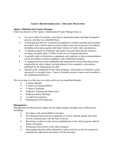# **SAFETY RESPONSIBILITIES – SPECIFIC POSITIONS**

# **Agency Administrator/County Manager**

Under the direction of the Agency Administrator/County Manager there is:

- An active Safety Committee, consisting of department heads and other designated persons, meeting on a scheduled basis.
- A thorough and effective Accident Investigation to include reporting and recording procedure, and a written report on actions taken to prevent recurrence of accidents, including action taken against individual violators of safety rules and practices.
- A training program for employees and supervisory personnel directly related to avoiding a possible injury or illness in the area of assigned operations.
- A periodic audit of all premises, equipment, and, materials so that recommendations can be developed to obtain compliance with established standards.
- A communications system established and maintained to ensure that all personnel responsible for safety matters are kept abreast of new standards or procedures published by the Department of Labor.
- Specific goals established for the safety program, with progress toward those goals measured on a monthly basis. Copies of monthly progress reports are forwarded to the Administrator/Director.

The seven steps to achieving your safety policy are accomplished through:

- A Safety Manual
- A Safety Coordinator/Officer
- A Safety Committee
- Employee Training and Supervision
- Employee Safety Meetings
- Accident Investigation
- Departmental Self-Inspection

# **Management**

Management will demonstrate support for the safety program through every visible means, including:

- Providing a safe and healthful work place.
- Providing personal protective equipment as well as machine guards and safety devices commensurate with the state of the art.
- Reviewing accident records and accomplishments of the safety program with the Safety Committee.
- Evaluating effectiveness of the safety program.
- Participating directly and/or indirectly in safety activities as may be required to maintain the enthusiasm and interest off all concerned.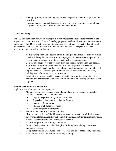- Abiding by Safety rules and regulations when exposed to conditions governed by the rules.
- Directing that any flagrant disregard of safety rules and regulations by employees be grounds for dismissal as outlined in Personnel Policy.

# **Responsibility**

The Agency Administrator/County Manager is directly responsible for all safety efforts in the organization. Enthusiasm and faith in the safety program must be such as to maintain the interest and support of all Department Heads and Supervisors. This attitude is reflected down through the Department Heads and Supervisors to the individual workers. The specific accident prevention duties include the following:

- Active participation and direction in the planning of details for accident prevention which will bring the best results for all employees. Expansion and adaptation of program and procedures to all departments within the organization.
- Demonstrated support of the program through personal participation and through approval of necessary expenditures for such items as personal protective equipment, mechanical guards, good lighting, good ventilation, and other physical improvements to the working environment, as well as expenditures for safety training materials, awards and incentives, etc.
- Continuing review of the effectiveness of accident prevention efforts in various sections and departments, with necessary follow-up and bolstering of efforts when required.

# **Safety Coordinator Responsibility**

Implement and administer the safety program.

- Maintain records as necessary to comply with laws and objectives of the safety program. These records should include:
	- Copy of Report of Injury, illness or Accident
	- Supervisor's Accident Investigation Reports
	- Required OSHA forms
	- Minutes of all Safety Meetings
	- Safety Program status reports
- Submit status reports to Safety Committee
- Make periodic visits to all buildings/operations to assist and consult in developing safe work methods, accident investigations, training, and other technical assistance.
- Analyze accident reports and investigations weekly.
- Act as Chairperson of the Safety Committee.
- Promote "safety awareness "in all employees through stimulating educational training programs.
- Compliance with all OSHA, state and local laws, and established safety standards.
- Assist Supervisors in all matters pertaining to safety.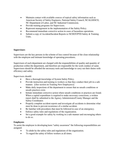- Maintain contact with available sources of topical safety information such as American Society of Safety Engineers, National Safety Council, NCALGESCO, NC Department of Labor, and NC Industrial Commission.
- Provide training programs for Supervisors.
- Represent management in the implementation of the Safety Policy.
- Recommend immediate corrective action in cases of hazardous operations.
- Submit a copy of Accident/Incident Reports to NCDOT/PTD Safety & Training Units.

# **Supervisors**

Supervisors are the key persons in the scheme of loss control because of the close relationship with the employee and intimate knowledge of operating procedures.

Supervisors of each department are charged with the responsibilities of quality and quantity of production within the department, and therefore are responsible for the work conduct of same. Supervisors should be afforded the necessary tools and knowledge to carry out their duties with efficiency and safety.

Supervisors should:

- Have a thorough knowledge of System Safety Policy.
- Provide instruction and training to workers so that they conduct their job in a safe manner. [(See section on Training New Employees)]
- Make daily inspections of the department to ensure that no unsafe conditions or unsafe practices exist.
- Initiate immediate corrective action where unsafe conditions or practices are found. When a capital expenditure is required to make necessary corrections, a written report shall be submitted to the Agency Administrator/County Manager and the Safety Coordinator.
- Properly complete accident reports and investigate all accidents to determine what must be done to prevent recurrence of a similar accident.
- Be familiar with procedures that must be followed in case of an emergency.
- Enforce safety rules and regulations of the organization.
- Set a good example for safety by working in a safe manner and encouraging others to do so.

# **Employees**

To assist the employee in developing keen "safety awareness" the following responsibilities are assigned:

- To abide by the safety rules and regulations of the organization.
- To regard the safety of fellow workers at all times.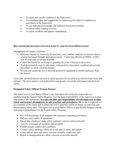- To report any unsafe condition to the Supervisor.
- To contribute ideas and suggestions for improving the safety of conditions or procedures to the Supervisor.
- To use individual knowledge and influence to prevent accidents.
- To attend safety training sessions.
- To report accidents and injuries immediately.

# **RELATIONSHIP BETWEEN SYSTEM SAFETY AND SYSTEM OPERATIONS**

Management of Unsafe Conditions

- Eliminate hazards by removing the machines, tool, method, material, or structure that is causing the hazard through appropriate means. Contacting officials of OSHA, or EPA, may be necessary for proper disposal.
- Control the hazard by enclosing or guarding the point of hazard at the source.
- Train personnel on steps to take when confronted by a hazardous condition and provide procedures to safely avoid the hazard.
- Provide and ensure the use of personal protective equipment to shield employees from the hazard.

At no time should protective devices or safety practices be set aside to get the job done faster and cheaper. The price paid for such indiscretion may greatly exceed the anticipated gain from the action.

# **Designated Safety Official (Francie Barnes)**

The Supervisor or Lead Safety Officer is the individual who is directly responsible for implementing the System Safety Program. It is the basic responsibility of the supervisor to plan and conduct safe operations. **It is also the duty and responsibility of each supervisor to fully orient and instruct all employees in safe practices and procedures.** He or she is expected to be a member of the safety and Accident Review Committee and be in charge of collecting and disseminating safety data. The supervisor or Lead Safety Officer is specifically charged with the following responsibilities for the System Safety Program:

- Have full knowledge of all standard and emergency operating procedures;
- Perform safety audits of operations;
- Ensure that employees make safety a primary concern when on the job;
- Actively investigate all incidents and accidents;
- Prohibit unsafe conduct and conditions;
- Conduct safety meetings which are a vital part of safety atmosphere;
- Listen and act upon any safety concerns raised by employees; and
- Report to management any safety concerns or possible hazards.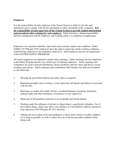# **Employees**

It is the responsibility of each employee of the Transit System to abide by all rules and regulations and to comply with all laws pertaining to safety and health in the workplace. **It is the responsibility of each supervisor of the Transit System to provide explicit instructional and procedural safety training for each employee.** Safety becomes a shared responsibility between management and the employee, and working safely is a condition of employment.

Employees are required to identify, report and correct unsafe conduct and conditions. Under (OSHA) 29 CFR part 1910; employees have the right to report any unsafe working conditions without being subjected to any retaliation whatsoever. Each employee must be an integral part of the SYSTEM SAFETY PROGRAM.

All transit employees are required to attend safety meetings. Safety meetings involve employees in the Safety Program and are very useful ways of training employees. Safety meetings and committees are used to present information, discuss problems and new ideas and discuss recent accidents and injuries. Safety meetings and commitment shall include, but shall not be limited to, the following:

- 1. Wearing the prescribed uniform and safety shoes as required.
- 2. Reporting promptly and in writing, to your supervisor, all injuries and illnesses associated with the jobs.
- 3. Reporting, no matter how slight, all fires, accidental damage to property, hazardous material spills and other emergency occurrences to your supervisor.
- 4. Disposing of all hazardous materials in an acceptable and lawful manner.
- 5. Working under the influence of alcohol or illegal drugs is specifically forbidden. Use of prescription drugs, which may affect your alertness or work abilities, shall be reported to your supervisor (49 CFR parts 40, 653, and 654).
- 6. Taking care not to abuse tools and equipment, so these items will be in usable condition for as long as possible, as well as ensure they are in the best possible condition while being used.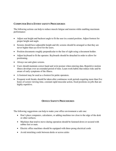# **COMPUTER DATA ENTRY SAFETY PROCEDURES**

The following actions can help to reduce muscle fatigue and tension while enabling maximum performance:

- Adjust seat height and backrest angle to fit the user in a seated position. Adjust footrest for proper height and angle.
- Screens should have adjustable height and tilt; screens should be arranged so that they are never higher than eye level for the users.
- Position documents roughly perpendicular to the line of sight using a document holder.
- Adjust keyboard to fit the operator. Keyboards should be detached in order to allow for positioning.
- Always use anti-glare screens.
- Users should maintain correct hand and wrist posture when entering data. Repetitive motion illness develops over an extended period of time. Learn work habits that reduce risks and be aware of early symptoms of the illness.
- A footstool may be used as a footrest for petite operators.
- Frequent work breaks should be taken after continuous work periods requiring more than five hours of screen viewing time, constant rapid muscular action, fixed positions on jobs that are highly repetitive.

# **OFFICE SAFETY PROCEDURES**

The following suggestions can help to make your office environment a safe one:

- Don't place computers, calculators, or adding machines too close to the edge of the desk or other surfaces.
- Machines that tend to move during operation should be fastened down or secured with rubber feet or mats.
- Electric office machines should be equipped with three-prong electrical cords
- Avoid stretching cords between desks or across aisles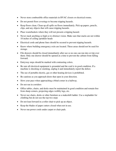- Never store combustible office materials in HVAC closets or electrical rooms.
- Do not permit floor coverings to become tripping hazards.
- Keep floors clean. Clean up all spills on floors immediately. Pick up papers, pencils, clips, and any objects that will cause tripping hazards.
- Place wastebaskets where they will not present a tripping hazard.
- Never stack anything so high so to obstruct vision. Make sure that stacks are not within 18 inches of ceiling sprinkler heads
- Electrical cords and phone lines should be secured to prevent tripping hazards.
- Know where building emergency exits are located. These areas should not be used for storage.
- File drawers should be closed immediately after use so no one can run into or trip over them. Only one drawer should be opened at a time to prevent the cabinet from falling forward.
- Entryway steps should be marked with contrasting colors.
- Be sure all electrical equipment is grounded and the cord is in good condition. If a machine is shocking or smoking, unplug it and immediately report the defect.
- The use of portable electric, gas or other heating devices is prohibited.
- Be cautious as you approach doors that open in your direction.
- Slow your pace when approaching a blind corner in a hallway.
- Do not run in corridors
- Office tables, chairs, and desks must be maintained in good condition and remain free from sharp corners, projecting edges wobbly legs, etc.
- Never use chairs, desks or other furniture as a makeshift ladder. Use a stepladder for climbing but do not use the top two steps
- Do not lean forward in a roller chair to pick up an object.
- Keep the blades of paper cutters closed when not in use.
- Never run power cords under carpet or chair pads.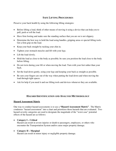# **SAFE LIFTING PROCEDURES**

Preserve your back health by using the following lifting strategies:

- Before lifting a load, think of other means of moving it using a device that can help you to pull, push or roll the load.
- Have firm footing and make sure the standing surface that you are on is not slippery.
- Determine the best way to hold the load using handles, gripping areas or special lifting tools. Get a firm grip on the load.
- Keep your back straight by tucking your chin in.
- Tighten your stomach muscles and lift with your legs.
- Lift the load slowly.
- Hold the load as close to the body as possible; be sure you position the load close to the body before lifting.
- Do not twist during your lift or when moving the load. Turn with your feet rather than your back.
- Set the load down gently, using your legs and keeping your back as straight as possible.
- Be sure your fingers are out of the way when putting the load down and when moving the load through tight spaces.
- Ask for help if you need it and use lifting tools and devices whenever they are available.

# **HAZARD IDENTIFICATION AND ANALYSIS METHODOLOGY**

# **Hazard Assessment Matrix**

One way to conduct hazard assessments is to use a **"Hazard Assessment Matrix"**. The Matrix condenses "hazard assessment" into a chart and prioritizes those hazards that are evaluated. Two hazard severity categories are used to designate the magnitude of the "worst case" potential effects of the hazard are as follows:

# **Category I – Critical**

Hazard can result in severe injuries or death to passengers, employees, or others who encounter the Transportation System and/or cause major property damage.

# **Category II – Marginal**

Hazard can result in minor injury or negligible property damage.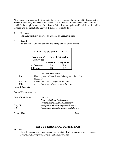After hazards are assessed for their potential severity, they can be examined to determine the probability that they may lead to an accident. As an increase in knowledge about safety is established through the course of the System Safety Program, prior accident information will be factored into the probability analysis if it is appropriate to do so.

#### **A Frequent**

The hazard is likely to cause an accident on a recurrent basis.

#### **B Remote**

An accident is unlikely but possible during the life of the hazard.

| <b>HAZARD ASSESSMENT MATRIX</b>          |                          |                    |
|------------------------------------------|--------------------------|--------------------|
| <b>Frequency of</b><br><b>Occurrence</b> | <b>Hazard Categories</b> |                    |
|                                          | <b>Critical I</b>        | <b>Marginal II</b> |
| A Frequent                               | I A                      | II A               |
| <b>B</b> Remote                          | I B                      | II B               |

| <b>Hazard Risk Index</b> |                                                   |  |
|--------------------------|---------------------------------------------------|--|
| I A                      | Unacceptable or Undesirable (Management Decision) |  |
|                          | Necessary)                                        |  |
| II A, I B                | Acceptable with Management Review                 |  |
| II B                     | Acceptable without Management Review              |  |

#### **Hazard Analysis**

Date of Hazard Analysis:

| <b>Hazard Risk Index</b> | <i>Criteria</i>                             |
|--------------------------|---------------------------------------------|
| IA                       | Unacceptable or Undesirable                 |
|                          | (Management Decision Necessary)             |
| HA, IB                   | <b>Acceptable with Management Review</b>    |
| $II \, B$                | <b>Acceptable without Management Review</b> |
|                          |                                             |

Prepared By: Date: Date:

# **SAFETY TERMS AND DEFINITIONS**

#### **ACCIDENT**

An unforeseen event or occurrence that results in death, injury, or property damage – *System Safety Program Training Participant's Guide*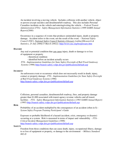An incident involving a moving vehicle. Includes collisions with another vehicle, object or person (except suicides) and derailment/left roadway. This also includes Personal Casualties incidents on the vehicle and entering/exiting the vehicle. – *Federal Transit Administration (FTA) - Safety Management Information Statistics (1999 SAMIS Annual Report)(2000)* 

Occurrence in a sequence of events that produces unintended injury, death or property damage. Accident refers to the event, not the result of the event. – *National Safety Council (NSC), National Safety Council Statistics Glossary [online](Research & Statistics, 25 July 2000[15 March 2002]);* http://www.nsc.org/lrs/glossary.htm

#### **HAZARD**

Any real or potential condition that can cause injury, death or damage to or loss of equipment or property

- theoretical condition

- identified before an incident actually occurs

*FTA - Implementation Guidelines for State Safety Oversight of Rail Fixed Guideway Systems (1996)* http://transit-safety.volpe.dot.gov/publications/default.asp

#### **INCIDENT**

An unforeseen event or occurrence which does not necessarily result in death, injury, contact or property damage - *FTA - Implementation Guidelines for State Safety Oversight of Rail Fixed Guideway Systems (1996)*  http://transit-safety.volpe.dot.gov/publications/default.asp

Collisions, personal casualties, derailments/left roadway, fires, and property damage greater than \$1,000 associated with transit agency revenue vehicles and all transit facilities - *FTA - Safety Management Information Statistics (1993 SAMIS Annual Report) (1995)* http://transit-safety.volpe.dot.gov/publications/default.asp

#### **RISK**

Probability of an accident multiplied by the consequences of an accident (often in \$) - *System Safety Program Training Participant's Guide*

Exposure or probable likelihood of a hazard (accident, crisis, emergency or disaster) occurring at a system. Risk is measured in terms of impact and vulnerability - *FTA - Critical Incident Management Guidelines (1998)* 

http://transit-safety.volpe.dot.gov/publications/default.asp

#### **SAFETY**

Freedom from those conditions that can cause death, injury, occupational illness, damage to or loss of equipment or property, or damage to the environment – *Military Standard 882-D*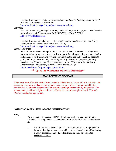Freedom from danger - *FTA - Implementation Guidelines for State Safety Oversight of Rail Fixed Guideway Systems (1996)* 

http://transit-safety.volpe.dot.gov/publications/default.asp

#### **SECURITY**

Precautions taken to guard against crime, attack, sabotage, espionage, etc. – *The Learning Network, Inc., A-Z Dictionary [online](2000-2002[15 March 2002])*  http://www.infoplease.com

Freedom from intentional danger - *FTA - Implementation Guidelines for State Safety Oversight of Rail Fixed Guideway Systems (1996)*  http://transit-safety.volpe.dot.gov/publications/default.asp

## **SYSTEM SECURITY**

All activities associated with providing security to transit patrons and securing transit property including supervision and clerical support. Includes patrolling revenue vehicles and passenger facilities during revenue operations; patrolling and controlling access to yards, buildings and structures; monitoring security devices; and, reporting security breaches – *US Department of Transportation, Bureau of Transportation Statistics, Transportation Expressions [online](1996[15 March 2002])*  http://www.bts.gov/btsprod/expr/expsearch.html

**\*\* Operated by Contractor or Services Outsourced\*\***

# **MANAGEMENT REVIEWS**

There must be an effective mechanism to monitor and document the contractor's activities. An acceptable program would consist of periodic written reports of activities submitted by the contractor to the grantee, supplemented by periodic oversight inspections by the grantee. The grantee must provide oversight in order to verify the contractor's compliance with FTA and NCDOT regulations and polices.

# **POTENTIAL WORK SITE HAZARDS IDENTIFICATION**

#### **Policy**

- A. The designated Supervisor at EACH Employee work site shall identify at least ANNUALLY any potential Occupational Safety or Health Hazards at that work site.
	- 1. Any time a new substance, process, procedure, or piece of equipment is introduced and presents a potential hazard or a hazard is identified during a Safety Inspection, an updated Identification must be completed IMMEDIATELY.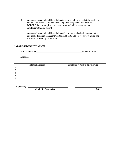B. A copy of the completed Hazards Identification shall be posted at the work site and must be reviewed with any new employee assigned to that work site BEFORE the new employee beings to work and will be recorded in the employee's training record.

A copy of the completed Hazards Identification must also be forwarded to the applicable Program Manager/Director and Safety Officer for review action and for file for follow-up inspections.

# **HAZARDS IDENTIFICATION**

Location **Location** 

| <b>Potential Hazards</b> | Employee Action to be Followed |
|--------------------------|--------------------------------|
|                          |                                |
|                          |                                |
|                          |                                |
|                          |                                |
|                          |                                |

Completed by:  $\qquad \qquad$ 

*Work Site Supervisor* Date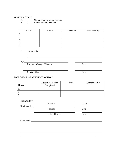#### REVIEW ACTION

A. No remediation action possible

B. Remediation to be done

| Hazard | Action | Schedule | Responsibility |
|--------|--------|----------|----------------|
|        |        |          |                |
| ـ ت    |        |          |                |
| J.     |        |          |                |
| ᆠ.     |        |          |                |
| J.,    |        |          |                |

C. Comments:  $\overline{a}$ 

 $\overline{a}$ 

By:

 $\overline{a}$ 

 $\overline{a}$ 

Program Manager/Director Date

Safety Officer Date

# **FOLLOW-UP ABATEMENT ACTION**

| <b>Hazard</b> | <b>Abatement Action</b><br>Completed | Date | Completed By |
|---------------|--------------------------------------|------|--------------|
|               |                                      |      |              |
| ـ ـ           |                                      |      |              |
|               |                                      |      |              |

| Submitted by: |                       |      |
|---------------|-----------------------|------|
|               | Position              | Date |
| Reviewed by:  |                       |      |
|               | Position              | Date |
|               | <b>Safety Officer</b> | Date |
| Comments:     |                       |      |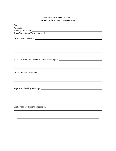# **SAFETY MEETING REPORT (MONTHLY, BI-MONTHLY OR QUARTERLY)**

| Date:<br><u> 1989 - Johann Barnett, fransk politiker (</u>                        |
|-----------------------------------------------------------------------------------|
|                                                                                   |
|                                                                                   |
| Attendance should be documented.                                                  |
| Other Persons Present:                                                            |
|                                                                                   |
|                                                                                   |
|                                                                                   |
|                                                                                   |
|                                                                                   |
|                                                                                   |
| Formal Presentation (Name of presenter and topic): ______________________________ |
|                                                                                   |
|                                                                                   |
|                                                                                   |
|                                                                                   |
|                                                                                   |
|                                                                                   |
|                                                                                   |
|                                                                                   |
|                                                                                   |
|                                                                                   |
|                                                                                   |
|                                                                                   |
|                                                                                   |
|                                                                                   |
|                                                                                   |
|                                                                                   |
|                                                                                   |
|                                                                                   |
|                                                                                   |
|                                                                                   |

 $\overline{a}$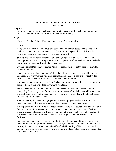# **DRUG AND ALCOHOL ABUSE PROGRAM OVERVIEW**

#### **Purpose**

To provide an overview of establish guidelines that ensure a safe, healthy and productive drug-free work environment for the employees of the Agency.

#### **Scope**

The Drug and Alcohol Policy affects and applies to all Agency employees.

#### **Overview**

Being under the influence of a drug or alcohol while on the job poses serious safety and health risks to the user and to co-workers. Therefore, the Agency has established the following policy to ensure a drug-free work environment:

**SCATS** has zero tolerance for the use of alcohol, illegal substances, or the misuse of prescription medications during work hours or the presence of these substances in the body during work hours regardless of when consumed.

Drug and alcohol tests may be administered pre-employment, re-entry, post-accident, for causes or random.

A positive test result is any amount of alcohol or illegal substance as revealed by the test. The medical Review Officer will make the final decision as to a positive or negative test result. A positive test result will result in immediate termination.

Alternate types of tests may be conducted when two or more tests within twelve months are found to be inclusive or a situation warrants such tests.

Failure to submit to a drug/alcohol test when requested or leaving the test site without completing the test is grounds for immediate termination. Other behaviors will be considered a refusal; tampering with the specimen or not reporting for a drug test without a valid reason immediately following an accident.

An ongoing drug free awareness program to inform employees has been established and begins with their initial agency orientation then continues on an annual basis.

All employees will receive 1 hour of substance abuse awareness education as presented by a Substance Abuse Professional. All supervisory personnel will receive 1 hour of substance abuse awareness education and 1 hour of training on the physical, behavioral, speech, and performance indicators of probable alcohol misuse as presented by a Substance Abuse Professional.

Each employee will sign a statement of understanding that, as a condition of employment under grants providing funding for his/her position, the employee will abide by the terms of the drug free workplace statement and notify **SCATS** in writing of his/her conviction for a violation of a criminal drug statue occurring in the workplace no later than five calendar days after such a conviction.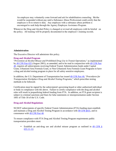An employee may voluntarily come forward and ask for rehabilitation counseling. He/she would be suspended without pay until a Substance Abuse Professional could certify that the employee is fit to return to duty. Any employee with a substance abuse problem is encouraged to seek help through the Agency Employee Assistance Program.

Whenever the Drug and Alcohol Policy is changed or revised all employees with be briefed on the policy. All training will be properly documented in the employee's training records.

## **Administration**

The Executive Director will administer this policy.

## **Drug and Alcohol Program**

"*Prevention of Alcohol Misuse and Prohibited Drug Use in Transit Operations,*" as implemented by 49 CFR Part 655 (August 2001), as amended, and to be read in conjunction with 49 CFR Part 40, requires all subrecipients receiving Federal Transit Administration funds under Capital Grant, Urbanized Area Formula Grant, or Non-Urbanized Area Formula Grant Programs to have a drug and alcohol testing program in place for all safety sensitive employees.

In addition, the U.S. Department of Transportation has issued 49 CFR Part 40, "*Procedures for Transportation Workplace Drug and Alcohol Testing Programs,*" which prescribes testing methods to be followed.

Certification must be signed by the subrecipient's governing board or other authorized individual or body in compliance with the above. Failure to certify compliance with the drug and alcohol rules will result in jeopardizing federal funding from FTA. In addition, an FTA grant recipient is subject to criminal sanctions and fines for false statements or misrepresentation under Section 1001 of Title 18 of the U.S. Code.

# **Drug and Alcohol Regulations**

NCDOT subrecipients of specific Federal Transit Administration (FTA) funding must establish and maintain a Drug and Alcohol Testing Program in accordance with 49 CFR §655, and in consonance with 49 CFR Part 40.

To ensure compliance with FTA Drug and Alcohol Testing Program requirements public transportation providers must:

• Establish an anti-drug use and alcohol misuse program as outlined in 49 CFR § 655.11-12;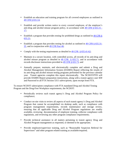- Establish an education and training program for all covered employees as outlined in 49 CFR § 655.14;
- Establish and provide written notice to every covered employee, of the employer's anti-drug and alcohol misuse program policy, in accordance with 49 CFR § 655.15 - 17;
- Establish a program that provides testing for prohibited drugs as outlined in 49 CFR  $\S$ 655.21;
- Establish a program that provides testing for alcohol as outlined in 49 CFR § 655.31-35, and in conjunction with 49 CFR Part 40;
- Comply with the testing requirements as detailed in 49 CFR § 655.41-62;
- Maintain in a secure location, with controlled access, all records of its anti-drug and alcohol misuse program as detailed in  $49 \text{ CFR}$  § 655.71, and in accordance with records disclosure instructions provided in 49 CFR § 655.73; and
- Annually prepare, maintain, and electronically complete and submit a Drug and Alcohol Management Information System (DAMIS) Report reflecting the results of its anti-drug and alcohol misuse testing programs performed for the previous calendar year. Transit agencies complete this report electronically. The NCDOT/PTD will provide DAMIS Report preparation instructions, along with a transit agency user ID# and Password to all FTA Section 5311 *subrecipients*, upon receipt from FTA.

To ensure NCDOT subrecipient compliance with FTA mandated Drug and Alcohol Testing Program and the Drug-Free Workplace requirements, the NCDOT:

- Periodically reviews each transit agency's Drug and Alcohol Program Policy for compliance;
- Conduct on-site visits to review all aspects of each transit agency's Drug and Alcohol Program that cannot be accomplished via desktop audit, such as compliance with program management requirements, records maintenance and storage review, ensuring that all applicable Drug and Alcohol Program regulations are readily available, reviewing documentation of employee training, collector compliance with regulations, and reviewing any other program compliance requirements;
- Provide technical assistance in all matters pertaining to transit agency Drug and Alcohol Program management as requested, or deemed to be appropriate;
- Provide employee/supervisor training, such as "Reasonable Suspicion Referral for Supervisors" and other program related training as available/required;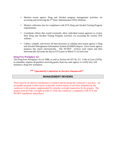- Monitor transit agency Drug and Alcohol program management activities via accessing and reviewing the 3rd Party Administrator (TPA) Website;
- Monitor collection sites for compliance with FTA Drug and Alcohol Testing Program requirements;
- Coordinate efforts that would eventually allow individual transit agencies to review their Drug and Alcohol Testing Program activities via accessing the current TPA website;
- Collect, compile, and review all data necessary to validate each transit agency's Drug and Alcohol Management Information System (DAMIS) Report. Each transit agency prepares this report electronically. The NCDOT reviews each report and then electronically forwards the data to FTA prior to March 15 of each year.

#### **Drug-Free Workplace Act**

The Drug-Free Workplace Act of 1988, as well as Section 44-107-30, S.C. Code of Laws (1976), as amended, requires all grantees receiving grants from any state agency to certify they will maintain a drug-free workplace.

# **\*\* Operated by Contractor or Services Outsourced\*\***

# **MANAGEMENT REVIEWS**

There must be an effective mechanism to monitor and document the contractor's activities. An acceptable program would consist of periodic written reports of activities submitted by the contractor to the grantee, supplemented by periodic oversight inspections by the grantee. The grantee must provide oversight in order to verify the contractor's compliance with FTA and NCDOT regulations and policies.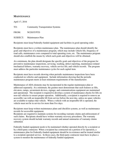# **MAINTENANCE**

April 17, 2016

TO: Community Transportation Systems

FROM: NCDOT/PTD

SUBJECT: Maintenance Plan

Recipients must keep Federally-funded equipment and facilities in good operating order.

Recipients must have a written maintenance plan. The maintenance plan should identify the goals and objectives of a maintenance program, which may include vehicle life, frequency of road calls, maintenance costs compared to total operating costs, etc. The maintenance program should also establish the means by which such goals and objectives will be obtained.

At a minimum, the plan should designate the specific goals and objectives of the program for preventive maintenance inspections, servicing, washing, defect reporting, maintenance-related mechanical failures, warranty recovery, vehicle service life, and vehicle records. The program must address the particular maintenance cycles for each capital item.

Recipients must have records showing when periodic maintenance inspections have been conducted on vehicles and equipment. Include information showing that the periodic maintenance program meets at least minimum requirements of the manufacturer.

Maintenance of ADA elements may be incorporated in the regular maintenance plan or addressed separately. At a minimum, the grantee must demonstrate that such features as lifts, elevators, ramps, securement devices, signage, and communications equipment are maintained and operational. The recipient is required to develop a system of maintenance checks for lifts on non-rail vehicles to ensure proper operation. Additionally, a recipient is required to remove an accessible van with an inoperable lift from service before the next day, unless no spare vehicles are available to replace that vehicle. When a vehicle with an inoperable lift is operated, the vehicle must not be in service for more than five days.

Recipients must keep written maintenance plans and checklist systems, as well as maintenance records for accessible equipment.

Recipients are required to maintain systems for recording warranty claims and enforcement of such claims. Recipients should have written warranty recovery procedures. The warranty recovery system should include warranty records and annual summaries of warranty claims submitted.

Federally funded equipment needs to be maintained whether operated directly by a recipient or by a third-party contractor. When a recipient has contracted out a portion of its operation, a maintenance plan for Federally-funded equipment should be in existence and be treated similar to a recipient-operated service. In those cases, the third-party contractor must have in place a system to monitor the maintenance of federally funded equipment.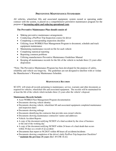# **PREVENTIVE MAINTENANCE STANDARDS**

All vehicles, wheelchair lifts and associated equipment, system owned or operating under contract with the system, is placed on a comprehensive preventive maintenance program for the purpose of *increasing safety and reducing operational costs*.

# **The Preventive Maintenance Plan should consist of***:*

- Making preventive maintenance arrangements
- Conducting a Pre/Post-Trip Inspection course for driver
- Completing a corresponding inspection checklist
- Utilizing Asset WORKS Fleet Management Program to document, schedule and track equipment maintenance
- Maintaining maintenance record on file for each vehicle
- Completing statistical reporting
- Reporting common problems
- Utilizing manufacturers Preventive Maintenance Guidelines Manual
- Keeping all maintenance records for the life of the vehicle to include three (3) years after disposition

\*Note: The Preventive Maintenance Program has been developed for the purpose of safety, reliability and vehicle use longevity. The guidelines are not designed to interfere with or violate the Manufacturer's Warranty Maintenance Schedule.

# **MAINTENANCE RECORDS**

SCATS will retain all records pertaining to maintenance, service, warranty and other documents as required for vehicles, wheelchair lifts and associated equipment. The records will be maintained for at least the life of the vehicle which includes three (3) years after the vehicle's disposal.

# **Maintenance Records Include:**

- Asset WORKS Fleet Management Program documentation
- Documents showing vehicle identity
- Documents showing vehicle, wheelchair lift and associated equipment completed maintenance and inspection dates
- Documents showing mileage
- Documents identifying the contractor that provides non-owned vehicles
- Documents showing maintenance contractors' names and addresses
- Vehicle Accident Reports
- A copy of the document notifying NCDOT of a fatal accident by the close of business or the end of the working day
- A copy of the document notifying NCDOT within 24 hours of a fatal death that occurs within 30 days as a result of an accident
- Documents that report to NCDOT within 48 hours all accidents/incidents
- Documents showing completion of the driver's daily Pre/Post-Trip Inspection Checklists\* \* **maintain the previous (5) years** (Ref: 49 CFR 18.42)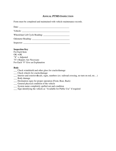# **ANNUAL PTMS INSPECTION**

Form must be completed and maintained with vehicle maintenance records.

 $Date:$ 

Vehicle: \_\_\_\_\_\_\_\_\_\_\_\_\_\_\_\_\_\_\_\_\_\_\_\_\_\_\_\_\_\_\_\_\_\_\_\_\_\_\_\_\_\_

Wheelchair Lift Cycle Reading: \_\_\_\_\_\_\_\_\_\_\_\_\_\_\_\_\_\_\_\_\_\_\_

Odometer Reading: \_\_\_\_\_\_\_\_\_\_\_\_\_\_\_\_\_\_\_\_\_\_\_\_\_\_\_\_\_\_\_\_\_

Inspector: \_\_\_\_\_\_\_\_\_\_\_\_\_\_\_\_\_\_\_\_\_\_\_\_\_\_\_\_\_\_\_\_\_\_\_\_\_\_\_\_\_

# **Inspection Key**

For Each Item  $OK = OK$ " $X$ " = Adjusted "0"= Repairs Are Necessary For Each "0" Give an Explanation

# **Body**

- \_\_\_ Check windshield and other glass for cracks/damage
- **\_\_\_** Check wheels for cracks/damage
- **\_\_\_** Interior and exterior **d**ecals, signs, numbers (ex: railroad crossing, no turn on red, etc…)

**\_\_\_** Body damage

- **\_\_\_** Destination signs for proper operation (Front, Rear, Back)
- \_\_\_ General physical condition of the vehicle
- \_\_\_ System name completely spelled out and condition
- \_\_\_ Sign identifying the vehicle as "Available for Public Use" if required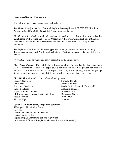# **ONBOARD SAFETY EQUIPMENT**

The following items have been placed in all vehicles:

*Seat Belts* - An adjustable driver's restraining belt that complies with FMVSS 209 (Seat Belt Assemblies) and FMVSS 210 (Seat Belt Anchorages) regulations

*Fire Extinguisher* - Include a fully-charged dry chemical or carbon dioxide fire extinguisher that has at least a 1A:BC rating and bears the Underwriter's Laboratory, Inc. label. The extinguisher should be accessible and must be securely mounted in a visible place or a clearly marked compartment.

*Red Reflector* - Vehicles should be equipped with three (3) portable red reflector warning devices in compliance with North Carolina Statutes. The triangle case must be mounted to the vehicle.

*Web Cutter* – Must be visible and easily accessible by the vehicle driver.

*Blood borne Pathogen Kit* – Kit includes disposable gloves for your hands, disinfectant spray for decontamination of any spill, paper towels for clean up, absorbent powder for clean up, approved bags & containers for proper disposal, dust pan, brush and tongs for handling sharps items, mouth and nose mask and disinfectant towelettes for immediate hand cleaning)

*First Aid Kit* – Kit should consist of the following items:

| <b>Bandage Compress</b>                              | Sting, Kill Swabs                     |
|------------------------------------------------------|---------------------------------------|
| <b>Gauze Pads</b>                                    | <b>Instant Cold Pack</b>              |
| <b>Triangular Bandages</b>                           | Sterile Buffered Isotonic Eyewash Kit |
| <b>Gauze Bandages</b>                                | <b>Adhesive Bandages</b>              |
| <b>Triple Antibiotic Ointment</b>                    | <b>Adhesive Tape</b>                  |
| <b>CPR Micro-shield Rescue Breather &amp; Gloves</b> | Disposable Gloves                     |
| <b>Rescue Blanket</b>                                | <b>Burn Spray</b>                     |
| Alcohol Wipes                                        | <b>Scissors</b>                       |

#### **Optional On-board Safety Response Equipment**

- 5 Emergency Notification Cards
- 1 pry bar
- 1 flashlight and a set of extra batteries
- 1 set of jumper cables
- 1 spare tire plus appropriate jack and lug wrench
- 1 camera (with film that is replaced with new film every six months)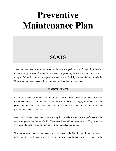# **Preventive Maintenance Plan**

# **SCATS**

Preventive maintenance is a term used to describe the performance of regularly scheduled maintenance procedures of a vehicle to prevent the possibility of malfunctions. It is SCATS policy to follow that minimum required maintenance set forth by the manufacturer standards. All preventative maintenance will be reported/completed in a timely manner.

# **MAINTENANCE**

Each SCATS vehicle is assigned a number by the Coordinator of Transportation which is affixed to each vehicle in a visible location (driver side front under the headlight, on the cover for the gas tank and the back passenger side above the brake light. The phone number and facility name is put on the vehicles when purchased.

Every transit driver is responsible for ensuring that periodic maintenance is performed on the vehicle assigned to him/her at SCATS. The transit driver will indicate on the Pre-Trip Inspection Form when the vehicle is within 500 miles of the next scheduled service.

All requests for service and maintenance must be given to the Coordinator. Repairs are posted on the Maintenance Repair form. A copy of the form must be taken with the vehicle to the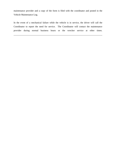maintenance provider and a copy of the form is filed with the coordinator and posted in the Vehicle Maintenance Log.

In the event of a mechanical failure while the vehicle is in service, the driver will call the Coordinator to report the need for service. The Coordinator will contact the maintenance provider during normal business hours or the wrecker service at other times.

\_\_\_\_\_\_\_\_\_\_\_\_\_\_\_\_\_\_\_\_\_\_\_\_\_\_\_\_\_\_\_\_\_\_\_\_\_\_\_\_\_\_\_\_\_\_\_\_\_\_\_\_\_\_\_\_\_\_\_\_\_\_\_\_\_\_\_\_\_\_\_\_\_\_\_\_\_\_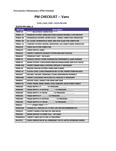# **PM CHECKLIST ‐‐ Vans**

# **CLASS\_CLASS\_CODE = SCATS‐PM‐VAN**

#### **SCATS-PM-VAN, A**

| <b>PM Task</b>      | <b>Description</b>                                                  |
|---------------------|---------------------------------------------------------------------|
| PMMP-00             | ***** MULTIPOINT INSPECTION *****                                   |
| PMDSC-07            | <b>WARNING SYSTEM: HORN; SWITCHES GAUGES; TROUBLE LIGHT; BACKUP</b> |
| PMDSC-08            | WINDSHIELD WIPERS; WIPER FLUID / SPEED; CONDITION/OPERATION         |
| PMDSC-09            | ALL GLASS: WINDSHIELD; REAR; AND SIDE GLASS FOR CONDITION           |
| PMDSC-10            | COMFORT SYSTEM: HEATER; DEFROSTER; AIR CONDITIONER-OPERATION        |
| PMUH <sub>120</sub> | <b>CHECK AIR FILTER CONDITION</b>                                   |
| PMSAC29             | <b>CHECK FOR OIL LEAKS</b>                                          |
| PMSAC55             | <b>INSPECT COMPLETE EXHAUST SYSTEM AND HEAT SHIELDS</b>             |
| PMSAC03             | STEERING TIGHT / NO SLACK                                           |
| PMMP-01             | SHOCKS/STRUTS: OTHER SUSPENSION COMPONENTS; LEAKS/DAMAGE            |
| PMMP-02             | BRAKE SYSTEM: LINES:HOSES:PARKING BRAKE:WHEEL END PLAY/NOISE        |
| PMMP-02A            | <b>INSPECT BRAKE PADS &amp; ROTORS; REPLACE IF NECESSARY</b>        |
| PMMP-03             | <b>ENGINE COOLING SYSTEM: HOSES AND CLAMPS</b>                      |
| <b>PMSOI-01</b>     | FLUIDS/LEVEL/LINES:TRANSMISSION; FILTER; POWER STEERING; AXLE       |
| PMUHI07             | BATTERY: SECURE; TERMINALS CLEAN; PERFORMING PROPERLY               |
| PMUH198C            | INSPECT ACCESSORY DRIVE BELT(S); REPLACE IF NECESSARY               |
| PMHB193             | <b>ROTATE TIRES; INSPECT FOR WEAR AND TEAR</b>                      |
| PMEXT-01            | TIRES; TREAD; WEAR; WHEEL LUGS; HUBCAPS; VALVE CORES CONDIT         |
| PMDSV02             | TREAD DEPTH L/F ______/32 PRESSURE __                               |
| PMDSV04             | TREAD DEPTH L/R OUTSIDE _______ /32 PRESSURE ___                    |
| PMDSV05             | TREAD DEPTH L/R INSIDE _______/32 PRESSURE __                       |
| PMRSV02             | TREAD DEPTH R/F _________ /32 PRESSURE ______                       |
| PMRSV04             | TREAD DEPTH R/R OUTSIDE _________ /32 PRESSURE ______               |
| PMRSV05             | TREAD DEPTH R/R INSIDE _______/32 PRESSURE                          |
| PMDC01              | ***** OTHER ITEMS *****                                             |
| PMSAC28A            | <b>CHANGE OIL; REPLACE OIL FILTER; USE OEM RECOMMENDED OIL</b>      |
| PMSAC93             | <b>INSPECT WHEELS FOR END PAY AND NOISE</b>                         |
| PMUH <sub>105</sub> | <b>BRAKE MASTER CYLINDER FULL / NO LEAKS</b>                        |
| PMWDE81A            | INSPECT CABIN AIR FILTER (IF EQUIPPED)                              |
| <b>PM-QT12</b>      | CHECK OPERATION OF ALL EMERGENCY EXITS; HATCH/WINDOWS/DOORS         |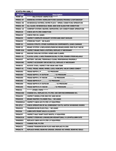| <b>SCATS-PM-VAN, C</b> |                                                                     |  |
|------------------------|---------------------------------------------------------------------|--|
| <b>PM Task</b>         | <b>Description</b>                                                  |  |
| PMMP-00                | ***** MULTIPOINT INSPECTION *****                                   |  |
| <b>PMDSC-07</b>        | WARNING SYSTEM: HORN; SWITCHES GAUGES; TROUBLE LIGHT; BACKUP        |  |
| <b>PMDSC-08</b>        | WINDSHIELD WIPERS; WIPER FLUID / SPEED; CONDITION/OPERATION         |  |
| PMDSC-09               | ALL GLASS: WINDSHIELD; REAR; AND SIDE GLASS FOR CONDITION           |  |
| PMDSC-10               | <b>COMFORT SYSTEM: HEATER; DEFROSTER; AIR CONDITIONER-OPERATION</b> |  |
| PMUHI20                | <b>CHECK AIR FILTER CONDITION</b>                                   |  |
| PMSAC29                | <b>CHECK FOR OIL LEAKS</b>                                          |  |
| PMSAC55                | <b>INSPECT COMPLETE EXHAUST SYSTEM AND HEAT SHIELDS</b>             |  |
| <b>PMSAC03</b>         | STEERING TIGHT / NO SLACK                                           |  |
| PMMP-01                | SHOCKS/STRUTS: OTHER SUSPENSION COMPONENTS; LEAKS/DAMAGE            |  |
| PMMP-02                | BRAKE SYSTEM: LINES;HOSES;PARKING BRAKE;WHEEL END PLAY/NOISE        |  |
| PMMP-02A               | <b>INSPECT BRAKE PADS &amp; ROTORS: REPLACE IF NECESSARY</b>        |  |
| PMMP-03                | <b>ENGINE COOLING SYSTEM: HOSES AND CLAMPS</b>                      |  |
| <b>PMSOI-01</b>        | FLUIDS/LEVEL/LINES:TRANSMISSION; FILTER; POWER STEERING; AXLE       |  |
| PMUHI07                | BATTERY: SECURE; TERMINALS CLEAN; PERFORMING PROPERLY               |  |
| PMUH198C               | INSPECT ACCESSORY DRIVE BELT(S); REPLACE IF NECESSARY               |  |
| PMHB <sub>193</sub>    | <b>ROTATE TIRES; INSPECT FOR WEAR AND TEAR</b>                      |  |
| PMEXT-01               | TIRES; TREAD; WEAR; WHEEL LUGS; HUBCAPS; VALVE CORES CONDIT         |  |
| PMDSV02                | TREAD DEPTH L/F ______/32 PRESSURE ______                           |  |
| PMDSV04                | TREAD DEPTH L/R OUTSIDE ______/32 PRESSURE ______                   |  |
| PMDSV05                | TREAD DEPTH L/R INSIDE ______/32 PRESSURE _______                   |  |
| PMRSV02                | TREAD DEPTH R/F _________ /32 PRESSURE ______                       |  |
| PMRSV04                | TREAD DEPTH R/R OUTSIDE __________/32 PRESSURE _______              |  |
| PMRSV05                | TREAD DEPTH R/R INSIDE _______/32 PRESSURE __                       |  |
| PMDC01                 | ***** OTHER ITEMS *****                                             |  |
| <b>PMSAC28A</b>        | CHANGE OIL; REPLACE OIL FILTER; USE OEM RECOMMENDED OIL             |  |
| PMSAC93                | <b>INSPECT WHEELS FOR END PAY AND NOISE</b>                         |  |
| PMUHI05                | <b>BRAKE MASTER CYLINDER FULL / NO LEAKS</b>                        |  |
| PMWDE81A               | INSPECT CABIN AIR FILTER (IF EQUIPPED)                              |  |
| <b>PM-QT12</b>         | CHECK OPERATION OF ALL EMERGENCY EXITS; HATCH/WINDOWS/DOORS         |  |
| PMUHI01                | TRANSMISSION FLUID FULL / NO LEAKS                                  |  |
| <b>PM255A</b>          | <b>LUBRICATE FRONT AXLE &amp; U-JOINTS</b>                          |  |
| <b>PMSAC97</b>         | INSPECT HALF SHAFT DUST BOOTS; IF EQUIPPED                          |  |
| PMSAC91A               | INSPECT STEERING LINKAGE; DRIVESHAFT; BALL/U-JOINTS; LUBRICATE      |  |
| PMWDE81                | REPLACE CABIN AIR FILTER (IF EQUIPPED)                              |  |
| <b>PMSAC52</b>         | <b>CHANGE FUEL FILTER</b>                                           |  |
| PMSAC51                | CHANGE TRANSMISSION FLUID AND REPLACE FILTER                        |  |
| PMSAC79                | REPLACE WHEEL BEARING GREASE; GREASE 4X2 WHEEL BEARING SEALS        |  |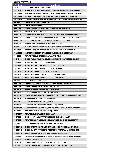#### **SCATS-PM-VAN, D**

| <b>PM Task</b>      | <b>Description</b>                                                 |
|---------------------|--------------------------------------------------------------------|
| PMMP-00             | ***** MULTIPOINT INSPECTION *****                                  |
| PMDSC-07            | WARNING SYSTEM: HORN; SWITCHES GAUGES; TROUBLE LIGHT; BACKUP       |
| <b>PMDSC-08</b>     | WINDSHIELD WIPERS: WIPER FLUID / SPEED: CONDITION/OPERATION        |
| PMDSC-09            | ALL GLASS: WINDSHIELD; REAR; AND SIDE GLASS FOR CONDITION          |
| PMDSC-10            | COMFORT SYSTEM: HEATER; DEFROSTER; AIR CONDITIONER-OPERATION       |
| PMUH <sub>120</sub> | <b>CHECK AIR FILTER CONDITION</b>                                  |
| <b>PMSAC29</b>      | <b>CHECK FOR OIL LEAKS</b>                                         |
| <b>PMSAC55</b>      | <b>INSPECT COMPLETE EXHAUST SYSTEM AND HEAT SHIELDS</b>            |
| <b>PMSAC03</b>      | STEERING TIGHT / NO SLACK                                          |
| PMMP-01             | SHOCKS/STRUTS: OTHER SUSPENSION COMPONENTS; LEAKS/DAMAGE           |
| PMMP-02             | BRAKE SYSTEM: LINES;HOSES; PARKING BRAKE; WHEEL END PLAY/NOISE     |
| PMMP-02A            | <b>INSPECT BRAKE PADS &amp; ROTORS; REPLACE IF NECESSARY</b>       |
| PMMP-03             | <b>ENGINE COOLING SYSTEM: HOSES AND CLAMPS</b>                     |
| PMSOI-01            | FLUIDS/LEVEL/LINES:TRANSMISSION; FILTER; POWER STEERING; AXLE      |
| <b>PMUHI07</b>      | BATTERY: SECURE; TERMINALS CLEAN; PERFORMING PROPERLY              |
| PMUH198C            | INSPECT ACCESSORY DRIVE BELT(S); REPLACE IF NECESSARY              |
| PMHB193             | <b>ROTATE TIRES; INSPECT FOR WEAR AND TEAR</b>                     |
| PMEXT-01            | TIRES; TREAD; WEAR; WHEEL LUGS; HUBCAPS; VALVE CORES CONDIT        |
| PMDSV02             | TREAD DEPTH L/F ______/32 PRESSURE ________                        |
| PMDSV04             | TREAD DEPTH L/R OUTSIDE _______ /32 PRESSURE _                     |
| PMDSV05             | TREAD DEPTH L/R INSIDE ______/32 PRESSURE _______                  |
| PMRSV02             | TREAD DEPTH R/F _________ /32 PRESSURE ______                      |
| PMRSV04             | TREAD DEPTH R/R OUTSIDE _________/32 PRESSURE                      |
| PMRSV05             | TREAD DEPTH R/R INSIDE ________/32 PRESSURE _______                |
| PMDC01              | ***** OTHER ITEMS *****                                            |
| <b>PMSAC28A</b>     | CHANGE OIL; REPLACE OIL FILTER; USE OEM RECOMMENDED OIL            |
| PMSAC93             | <b>INSPECT WHEELS FOR END PAY AND NOISE</b>                        |
| PMUHI05             | <b>BRAKE MASTER CYLINDER FULL / NO LEAKS</b>                       |
| PMWDE81A            | INSPECT CABIN AIR FILTER (IF EQUIPPED)                             |
| <b>PM-QT12</b>      | <b>CHECK OPERATION OF ALL EMERGENCY EXITS; HATCH/WINDOWS/DOORS</b> |
| PMUHI01             | TRANSMISSION FLUID FULL / NO LEAKS                                 |
| <b>PM255A</b>       | <b>LUBRICATE FRONT AXLE &amp; U-JOINTS</b>                         |
| <b>PMSAC97</b>      | <b>INSPECT HALF SHAFT DUST BOOTS; IF EQUIPPED</b>                  |
| PMSAC91A            | INSPECT STEERING LINKAGE; DRIVESHAFT; BALL/U-JOINTS; LUBRICATE     |
| PMWDE81             | REPLACE CABIN AIR FILTER (IF EQUIPPED)                             |
| PMSAC57A            | REPLACE SPARK PLUGS IF NECESSARY                                   |
| <b>PMSAC63</b>      | CHANGE MOTORCRAFT PREMIUM GOLD ENGINE COOLANT                      |
| PMSAC68             | REPLACE REAR AXLE FLUID ON DANA AXLES; SYNTHETIC LUBRICANT         |
| PM-CAM-<br>00P      | ***** PERFORM 6 MONTH CAMERA INSPECTION *****                      |
| <b>PMSEON-1</b>     | CHECK OPERATION; ADJUSTMENT AND CONDITION OF ALL CAMERAS           |
| <b>PMSEON-2</b>     | CHECK CAMERA SYSTEM DVR RECORDING PROPERLY; LIGHTS ON ETC          |
| PMSEON-3            | CLEAN BACK OF CAMERA DVR WITH COMPRESSED AIR                       |
| PMSAC79             | REPLACE WHEEL BEARING GREASE; GREASE 4X2 WHEEL BEARING SEALS       |
| PMSAC52             | <b>CHANGE FUEL FILTER</b>                                          |
| PMSAC51             | <b>CHANGE TRANSMISSION FLUID AND REPLACE FILTER</b>                |
| PMSFW61             | REPLACE CLIMATE-CONTROLLED SEAT FILTER (IF EQUIPPED)               |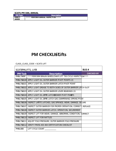**SCATS-PM-VAN, ANNUAL** 

| <b>PM Task</b> | <b>Description</b>                    |
|----------------|---------------------------------------|
| <b>PMRCT-</b>  | ***** PERFORM ANNUAL INSPECTION ***** |
| <b>ANNOO</b>   |                                       |

# **PM CHECKLIST‐‐Lifts**

# CLASS\_CLASS\_CODE = SCATS LIFT

| SCATSPMLIFTS, LIFA |                                                                         | <b>BUS#</b>       |
|--------------------|-------------------------------------------------------------------------|-------------------|
| <b>PM Task</b>     | <b>Description</b>                                                      | <b>CHECKED BY</b> |
| <b>PMBL7500P</b>   | ****PERFORM BRAUN WHEELCHAIR LIFT 750 CYCLE INSPECTION****              |                   |
|                    | PMBL750100 APPLY LIGHT OIL OUTER BARRIER PIVOT POINTS (2)               |                   |
| PMBL750101         | APPI Y LIGHT OIL OUTER BARRIER LATCH PIVOT POINT                        |                   |
| PMBL750102         | APPLY LIGHT GREASE TO BOTH SIDES OF OUTER BARRIER LATCH SLOT            |                   |
| PMBL750103         | APPLY LIGHT OIL OUTER BARRIER LEVER BEARINGS (2)                        |                   |
|                    | PMBL750104 APPLY LIGHT OIL LITTE LATCHESOWER PIVOT POILOTS              |                   |
|                    | PMBL750105 APPLY LIGHT OIL LITTE LATCH GAS (DAMPENING) SPRING PIVOT     |                   |
|                    | PMBL750106 INSPECT LIHTTE LATCHES; GAS SPRINGS; WEAR; DAMAGE; SECURE    |                   |
|                    | PMBL750107 INSPECT OUTER BARRIER FOR PROPER OPERATION; CORRECT; REPLACE |                   |
| PMBL750108         | INSPECT OUTER BARRIER LATCH; OPERATION; SECUREMENT                      |                   |
| PMBL750109         | INSPECT LIFT FOR WEAR; DAMAGE; ABNORMAL CONDITION; CORRECT              |                   |
| PMBL750110         | <b>INSPECT LIFT FOR RATTLES</b>                                         |                   |
|                    | PMBL750111 ADJUST FOLD PRESSURE; OUTER BARRIER FOLD PRESSURE            |                   |
|                    | PMBL750112 VERIFY FMVSS 403 404 CERTIFICATION CHECKLIST                 |                   |
| PMBL0-00           | LIFT CYCLE COUNT                                                        |                   |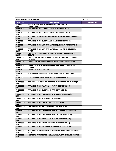|                         | <b>SCATS-PM-LIFTS, LIFT-B</b>                                                 | <b>BUS#</b>       |
|-------------------------|-------------------------------------------------------------------------------|-------------------|
| <b>PM Task</b>          | <b>Description</b>                                                            | <b>CHECKED BY</b> |
| <b>PMBL1500-</b><br>00P | **** PERFORM BRAUN WHEELCHAIR LIFT 1500 CYCLE<br>INSPECTION****               |                   |
| <b>PMBL750-</b><br>1100 | APPLY LIGHT OIL OUTER BARRIER PIVOT POINTS (2)                                |                   |
| <b>PMBL750-</b><br>1101 | APPLY LIGHT OIL OUTER BARRIER LATCH PIVOT POINT                               |                   |
| <b>PMBL750-</b><br>1102 | APPLY LIGHT GREASE TO BOTH SIDES OF OUTER BARRIER LATCH<br><b>SLOT</b>        |                   |
| <b>PMBL750-</b><br>1103 | APPLY LIGHT OIL OUTER BARRIER LEVER BEARINGS (2)                              |                   |
| <b>PMBL750-</b><br>1104 | APPLY LIGHT OIL LIFT-TITE LATCHES (LOWER PIVOT POINTS-2)                      |                   |
| <b>PMBL750-</b><br>1105 | APPLY LIGHT OIL LIFT-TITE LATCH GAS (DAMPENING) SPRING<br><b>PIVOT</b>        |                   |
| <b>PMBL750-</b><br>1106 | INSPECT LIFT-TITE LATCHES; GAS SPRINGS; WEAR; DAMAGE;<br><b>SECURE</b>        |                   |
| <b>PMBL750-</b><br>1107 | <b>INSPECT OUTER BARRIER FOR PROPER OPERATION: CORRECT:</b><br><b>REPLACE</b> |                   |
| <b>PMBL750-</b><br>1108 | <b>INSPECT OUTER BARRIER LATCH: OPERATION: SECUREMENT</b>                     |                   |
| <b>PMBL750-</b><br>1109 | <b>INSPECT LIFT FOR WEAR; DAMAGE; ABNORMAL CONDITION;</b><br><b>CORRECT</b>   |                   |
| <b>PMBL750-</b><br>1110 | <b>INSPECT LIFT FOR RATTLES</b>                                               |                   |
| <b>PMBL750-</b><br>1111 | <b>ADJUST FOLD PRESSURE; OUTER BARRIER FOLD PRESSURE</b>                      |                   |
| <b>PMBL750-</b><br>1112 | <b>VERIFY FMVSS 403 404 CERTIFICATION CHECKLIST</b>                           |                   |
| <b>PMBL1500-</b><br>100 | APPLY GREASE TO CONTACT AREAS INNER OUTER FOLD ARMS (2)                       |                   |
| <b>PMBL1500-</b><br>101 | APPLY LIGHT OIL PLATFORM PIVOT PIN BEARINGS (4)                               |                   |
| <b>PMBL1500-</b><br>102 | APPLY LIGHT OIL OUTER FOLD ARM BEARINGS (8)                                   |                   |
| <b>PMBL1500-</b><br>103 | APPLY LIGHT OIL INNER ROLL STOP PIVOT BEARINGS (2)                            |                   |
| <b>PMBL1500-</b><br>104 | APPLY LIGHT OIL STOP LEVER BEARINGS (2)                                       |                   |
| <b>PMBL1500-</b><br>105 | APPLY LIGHT OIL INNER STOP LEVER SLOT (2)                                     |                   |
| <b>PMBL1500-</b><br>106 | APPLY LIGHT OIL SADDLE SUPPORT BEARINGS (8)                                   |                   |
| <b>PMBL1500-</b><br>107 | APPLY LIGHT OIL INNER FOLD ARM ROLLER PIN BEARINGS (4)                        |                   |
| <b>PMBL1500-</b><br>108 | APPLY LIGHT OIL INNER FOLD ARM CAM FOLLOWERS (4)                              |                   |
| <b>PMBL1500-</b><br>109 | APPLY LIGHT OIL PARALLEL ARM PIVOT BEARINGS (16)                              |                   |
| <b>PMBL1500-</b><br>110 | APPLY LIGHT OIL HANDRAIL PIVOT PIN BEARINGS (4)                               |                   |
| <b>PMBL1500-</b><br>111 | APPLY LIGHT OIL HYDRAULIC CYLINDER BUSHINGS (8)                               |                   |
| <b>PMBL1500-</b><br>112 | APPLY LIGHT GREASE BOTH SIDES OUTER BARRIER LEVER GUIDE<br><b>SLOT</b>        |                   |
| <b>PMBL1500-</b><br>113 | INSPECT LIFT-TITE LATCH ROLLERS (2); WEAR; DAMAGE; SECURE                     |                   |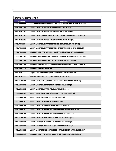| <b>SCATS-PM-LIFTS, LIFT-C</b> |                                                                     |
|-------------------------------|---------------------------------------------------------------------|
| <b>PM Task</b>                | <b>Description</b>                                                  |
| <b>PMBL4500-00P</b>           | **** PERFORM BRAUN WHEELCHAIR LIFT 4500 CYCLE INSPECTION****        |
| PMBL750-1100                  | APPLY LIGHT OIL OUTER BARRIER PIVOT POINTS (2)                      |
| PMBL750-1101                  | APPLY LIGHT OIL OUTER BARRIER LATCH PIVOT POINT                     |
| PMBL750-1102                  | APPLY LIGHT GREASE TO BOTH SIDES OF OUTER BARRIER LATCH SLOT        |
| PMBL750-1103                  | APPLY LIGHT OIL OUTER BARRIER LEVER BEARINGS (2)                    |
| PMBL750-1104                  | APPLY LIGHT OIL LIFT-TITE LATCHES (LOWER PIVOT POINTS-2)            |
| PMBL750-1105                  | APPLY LIGHT OIL LIFT-TITE LATCH GAS (DAMPENING) SPRING PIVOT        |
| PMBL750-1106                  | INSPECT LIFT-TITE LATCHES; GAS SPRINGS; WEAR; DAMAGE; SECURE        |
| PMBL750-1107                  | <b>INSPECT OUTER BARRIER FOR PROPER OPERATION; CORRECT; REPLACE</b> |
| PMBL750-1108                  | <b>INSPECT OUTER BARRIER LATCH; OPERATION; SECUREMENT</b>           |
| PMBL750-1109                  | <b>INSPECT LIFT FOR WEAR; DAMAGE; ABNORMAL CONDITION; CORRECT</b>   |
| PMBL750-1110                  | <b>INSPECT LIFT FOR RATTLES</b>                                     |
| PMBL750-1111                  | ADJUST FOLD PRESSURE; OUTER BARRIER FOLD PRESSURE                   |
| PMBL750-1112                  | <b>VERIFY FMVSS 403 404 CERTIFICATION CHECKLIST</b>                 |
| PMBL1500-100                  | APPLY GREASE TO CONTACT AREAS INNER OUTER FOLD ARMS (2)             |
| PMBL1500-101                  | APPLY LIGHT OIL PLATFORM PIVOT PIN BEARINGS (4)                     |
| PMBL1500-102                  | APPLY LIGHT OIL OUTER FOLD ARM BEARINGS (8)                         |
| PMBL1500-103                  | APPLY LIGHT OIL INNER ROLL STOP PIVOT BEARINGS (2)                  |
| PMBL1500-104                  | APPLY LIGHT OIL STOP LEVER BEARINGS (2)                             |
| PMBL1500-105                  | APPLY LIGHT OIL INNER STOP LEVER SLOT (2)                           |
| PMBL1500-106                  | APPLY LIGHT OIL SADDLE SUPPORT BEARINGS (8)                         |
| PMBL1500-107                  | APPLY LIGHT OIL INNER FOLD ARM ROLLER PIN BEARINGS (4)              |
| PMBL1500-108                  | APPLY LIGHT OIL INNER FOLD ARM CAM FOLLOWERS (4)                    |
| PMBL1500-109                  | APPLY LIGHT OIL PARALLEL ARM PIVOT BEARINGS (16)                    |
| PMBL1500-110                  | APPLY LIGHT OIL HANDRAIL PIVOT PIN BEARINGS (4)                     |
| PMBL1500-111                  | APPLY LIGHT OIL HYDRAULIC CYLINDER BUSHINGS (8)                     |
| PMBL1500-112                  | APPLY LIGHT GREASE BOTH SIDES OUTER BARRIER LEVER GUIDE SLOT        |
| PMBL1500-113                  | INSPECT LIFT-TITE LATCH ROLLERS (2); WEAR; DAMAGE; SECURE           |

<u> 1989 - Johann Barbara, martin amerikan basar dan basa dan basa dan basa dan basa dan basa dan basa dan basa</u>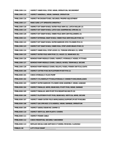| PMBL1500-114 | <b>INSPECT INNER ROLL STOP; WEAR; OPERATION; SECUREMENT</b>         |
|--------------|---------------------------------------------------------------------|
| PMBL1500-115 | INSPECT HANDRAIL; WEAR; DAMAGE; OPERATION                           |
| PMBL1500-116 | INSPECT MICROSWITCHES; SECURED; PROPER ADJUSTMENT                   |
| PMBL1500-117 | <b>MAKE SURE LIFT OPERATES SMOOTHLY</b>                             |
| PMBL1500-118 | INSPECT EXT SNAP RINGS; OUTER FOLD ARM (6); LATCH ROLLER (2)        |
| PMBL1500-119 | INSPECT EXT SNAP RINGS; LATCH GAS (DAMPENING) SPRING (4)            |
| PMBL1500-120 | <b>INSPECT EXT SNAP RINGS; INNER FOLD ARM CAM FOLLOWERS (4)</b>     |
| PMBL1500-121 | INSPECT EXTERNAL SNAP RINGS; INNER FOLD ARM ROLLER PINS (4)         |
| PMBL1500-122 | INSPECT EXT SNAP RINGS; OUTER BARRIER HYD CYLINDER PIN (2)          |
| PMBL1500-123 | INSPECT EXT SNAP RINGS; INNER ROLL STOP LEVER BRACK PINS (2)        |
| PMBL1500-124 | INSPECT INNER ROLL STOP LOCKS (2); TORSON SPRINGS (2); OPER         |
| PMBL1500-125 | INSPECT OUTER FOLD ARM PINS (2); AXLES (2); BEARINGS (8);           |
| PMBL1500-126 | REMOVE PUMP MODULE COVER; INSPECT; HYDRAULIC HOSES; FITTINGS        |
| PMBL1500-127 | REMOVE PUMP MODULE COVER; CABLES; WIRES; TERMINALS; SECURE          |
| PMBL1500-128 | REMOVE PUMP MODULE COVER; RELAYS; FUSES; POWER SWITCH;LIGHTS        |
|              |                                                                     |
| PMBL4500-100 | <b>INSPECT COTTER PINS ON PLATFORM PIVOT PIN (2)</b>                |
| PMBL4500-101 | CHECK HYDRAULIC FLUID PUMP                                          |
| PMBL4500-102 | INSPECT CYLINDERS;FITTINGS;HYDRAULIC CONNECTIONS;WEAR;LEAKS         |
| PMBL4500-103 | INSPECT OUTER BARRIER CYLINDER HOSE ASSEMBLY; WEAR; LEAKAGE         |
| PMBL4500-104 | INSPECT PARALLEL ARMS; BEARINGS; PIVOT PINS; WEAR; DAMAGE           |
| PMBL4500-105 | INSPECT PARALLEL ARM PIVOT PIN MOUNTING BOLTS (8)                   |
| PMBL4500-106 | <b>INSPECT PLATFORM PIVOT PINS; BEARINGS; VERTICAL ARMS; SECURE</b> |
| PMBL4500-107 | INSPECT INNER OUTER FOLD ARMS; SADDLE; SUPPORT; PIVOT PINS; BEA     |
| PMBL4500-108 | <b>INSPECT GAS SPRINGS (CYLINDERS); WEAR; DAMAGE; OPERATION</b>     |
| PMBL4500-109 | <b>INSPECT SADDLE BEARING (UHMW-2)</b>                              |
| PMBL4500-110 | <b>INSPECT VERTICAL ARM PLASTIC COVERS</b>                          |
| PMBL4500-111 | <b>INSPECT POWER CABLE</b>                                          |
| PMBL4500-112 | <b>CHECK MOUNTING; SECURELY ANCHORED</b>                            |
| PMBL4500-113 | REPLACE DECALS AND ANTISKID IF WORN; MISSING; ILLEGIBLE             |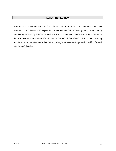# **DAILY INSPECTION**

Pre/Post-trip inspections are crucial to the success of SCATS. Preventative Maintenance Program. Each driver will inspect his or her vehicle before leaving the parking area by completing the Pre-Trip Vehicle Inspection Form. The completed checklist must be submitted to the Administrative Operations Coordinator at the end of the driver's shift so that necessary maintenance can be noted and scheduled accordingly. Drivers must sign each checklist for each vehicle used that day.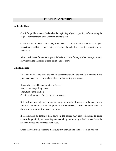## **PRE-TRIP INSPECTION**

#### **Under the Hood**

Check for problems under the hood at the beginning of your inspection before starting the engine. It is easier and safer when the engine is cool.

Check the oil, radiator and battery fluid levels. If low, make a note of it on your inspection checklist. If any fluids are below the safe level, see the coordinator for assistance.

Also, check hoses for cracks or possible leaks and belts for any visible damage. Report any wear on the checklist, as soon as it begins to show.

#### **Vehicle Interior**

Since you will need to leave the vehicle compartment while the vehicle is running, it is a good idea to put chocks behind the wheels before starting the motor.

Begin while seated behind the steering wheel. First, put on the parking brake. Then, turn on the ignition. Check the oil pressure, fuel and alternator gauges.

If the oil pressure light stays on or the gauge shows the oil pressure to be dangerously low, turn the motor off until the problem can be corrected. Alert the coordinator and document on your pre-trip inspection form.

If the alternator or generator light stays on, the battery may not be charging. To guard against the possibility of becoming stranded along the route by a dead battery, have the problem located and corrected right away.

Check the windshield wipers to make sure they are working and not worn or stripped.

\_\_\_\_\_\_\_\_\_\_\_\_\_\_\_\_\_\_\_\_\_\_\_\_\_\_\_\_\_\_\_\_\_\_\_\_\_\_\_\_\_\_\_\_\_\_\_\_\_\_\_\_\_\_\_\_\_\_\_\_\_\_\_\_\_\_\_\_\_\_\_\_\_\_\_\_\_\_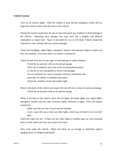#### **Vehicle Exterior**

Turn on all exterior lights. With the vehicle in park and the emergency brake still on, begin the exterior check from the front of the vehicle.

During the exterior inspection, be sure to note and report any evidence of fresh damage to the vehicle. Reporting such damage now may save you a lengthy and difficult explanation or report later. Space is provided for you on the Daily Vehicle Inspection Checklist to note and describe any exterior damage.

Check the headlights, signal lights, emergency flashers and clearance lights to make sure they are working. (You may need a co-worker's assistance).

Check the left front tire for any signs of road damage or under-inflation.

Check the air pressure with an air pressure gauge.

Take care to maintain your tires at the recommended pressure.

A soft tire is very susceptible to severe road damage.

An over-inflated tire causes a bumpier and less comfortable ride,

especially for elderly or disabled passengers.

Check the condition of the side marker light.

Move to the back of the vehicle and inspect the rear left tire or duals for obvious damage. Check the air pressure with an air pressure gauge.

While at the back of the vehicle, check the tail lights, the brake lights, turn signal lights, emergency flashers and any other clearance lights, reflectors or signs. (This will require assistance).

Make sure they are free of mud and dirt buildup.

Carry a rag with you to clean any dirty lights, which may be hard to see even after dark.

Check the right rear tire. If there are any other lights or outside signs for your boarding doors or lifts, make sure they are in place and clean.

Next, look under the vehicle. Make sure there are no foreign or unfamiliar objects hanging down or wedged underneath.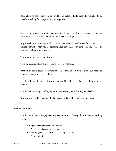Also, check to see if there are any puddles or vehicle fluids under the vehicle. If the vehicle is leaking fluid, report it to your supervisor.

Move to the front of the vehicle and examine the right front tire in the same manner as the left tire and check the condition of the side marker light.

Adjust each of your mirrors so that you can see what you need to see from your normal driving position. When you are adjusting your mirrors, keep in mind what you want to be able to see within your safety zone.

Test your horn to make sure it works.

Turn the steering wheel gently to make sure it is not loose.

Push on the brake pedal. If the tension feels spongy or soft, note this on your checklist. Your brakes may need to be adjusted.

Check the blower fan to see if it works so you'll be able to use the heater, defroster or air conditioner.

Check the interior lights. If any lights are not working, note this on your checklist.

Note on your checklist anything in the interior of the vehicle that needs attention.

\_\_\_\_\_\_\_\_\_\_\_\_\_\_\_\_\_\_\_\_\_\_\_\_\_\_\_\_\_\_\_\_\_\_\_\_\_\_\_\_\_\_\_\_\_\_\_\_\_\_\_\_\_\_\_\_\_\_\_\_\_\_\_\_\_\_\_\_\_\_\_\_\_

#### **Safety Equipment**

Check your emergency equipment to make sure it is in the right location and in working order.

Emergency equipment should include:

- A properly charged fire extinguisher
- Warning devices such as cones, triangles, flares
- A first aid kit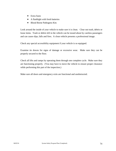- Extra fuses
- A flashlight with fresh batteries
- Blood Borne Pathogens Kits

Look around the inside of your vehicle to make sure it is clean. Clear out trash, debris or loose items. Trash or debris left in the vehicle can be tossed about by careless passengers and can cause slips, falls and fires. A clean vehicle presents a professional image.

Check any special accessibility equipment if your vehicle is so equipped.

Examine tie downs for signs of damage or excessive wear. Make sure they can be properly secured to the floor.

Check all lifts and ramps by operating them through one complete cycle. Make sure they are functioning properly. (You may have to move the vehicle to ensure proper clearance while performing this part of the inspection.)

Make sure all doors and emergency exits are functional and unobstructed.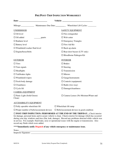|                                            |        | Mileage: Maintenance Due Date: Wheelchair Lift Cycles: __________________________ |
|--------------------------------------------|--------|-----------------------------------------------------------------------------------|
| <b>UNDERHOOD</b>                           |        | <b>SAFETY EQUIPMENT</b>                                                           |
| $\Box$ Oil level                           |        | $\Box$ Fire extinguisher                                                          |
| $\Box$ Oil added                           | quarts | $\Box$ Web cutter                                                                 |
| $\Box$ Radiator level                      |        | $\Box$ Emergency Triangles                                                        |
| $\Box$ Battery level                       |        | $\Box$ First Aid Kit                                                              |
| $\Box$ Windshield washer fluid level       |        | $\Box$ Back-up alarm                                                              |
| $\Box$ Engine/hoses/belts                  |        | $\Box$ Rear door buzzer (LTV only)                                                |
|                                            |        | $\Box$ Bloodborne Pathogen Kit                                                    |
| <b>EXTERIOR</b>                            |        | <b>INTERIOR</b>                                                                   |
| $\square$ Tires                            |        | $\Box$ Brakes                                                                     |
| $\Box$ Turn signals                        |        | $\Box$ Steering                                                                   |
| $\Box$ Headlights                          |        | $\Box$ Transmission                                                               |
| $\Box$ Tail/brakes lights                  |        | $\Box$ Mirrors                                                                    |
| $\Box$ Windshield wipers                   |        | $\Box$ Gauge/instruments                                                          |
| $\Box$ Fresh body damage                   |        | $\Box$ Controls (equipment)                                                       |
| $\Box$ Cleanliness                         |        | $\Box$ Radio (two-way)                                                            |
| $\Box$ Cycle lift                          |        | $\Box$ Damage/cleanliness                                                         |
| <b>CAMERA EQUIPMENT</b>                    |        |                                                                                   |
| $\Box$ Panic Light (Solid Green)<br>Clean) |        | $\square$ Camera Lenses (No Moisture/Water and                                    |
| A CCECCIDII ITV EQUIDMENT                  |        |                                                                                   |

# **PRE/POST-TRIP INSPECTION WORKSHEET**

#### ACCESSIBILITY EQUIPMENT

| $\Box$ Fully operable wheelchair lift |  |
|---------------------------------------|--|
|---------------------------------------|--|

 $\Box$  Wheelchair lift ramp

 $\Box$  Proper number of belts/securement devices  $\Box$  Belts/securement devices in good condition

 **POST-TRIP INSPECTION: PERFORMED AT THE END OF THE TRIP/DAY…**Check interior for damage, personal items and to assure vehicle is clean. Check exterior for damage which has occurred during your trip, windows and tires (flat, leak, damage). Record any problems detected while vehicle was in service. For example: fluid leaks, nose or operational issues with the engine or transmission. Also record any fluids which were added.

#### **\*\*\*\*Immediately notify Dispatch of any vehicle emergency or maintenance issue.**

| Notes.               |  |
|----------------------|--|
| Inspector Signature: |  |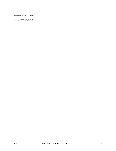Management Comments: \_\_\_\_\_\_\_\_\_\_\_\_\_\_\_\_\_\_\_\_\_\_\_\_\_\_\_\_\_\_\_\_\_\_\_\_\_\_\_\_\_\_\_\_\_\_\_\_\_\_\_\_\_\_\_\_\_\_

Management Signature: \_\_\_\_\_\_\_\_\_\_\_\_\_\_\_\_\_\_\_\_\_\_\_\_\_\_\_\_\_\_\_\_\_\_\_\_\_\_\_\_\_\_\_\_\_\_\_\_\_\_\_\_\_\_\_\_\_\_\_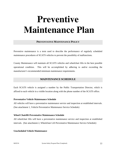# **Preventive Maintenance Plan**

#### **PREVENTATIVE MAINTENANCE POLICY**

Preventive maintenance is a term used to describe the performance of regularly scheduled maintenance procedures of SCATS vehicles to prevent the possibility of malfunctions.

County Maintenance will maintain all SCATS vehicles and wheelchair lifts in the best possible operational condition. This will be accomplished by adhering to and/or exceeding the manufacturer's recommended minimum maintenance requirements.

## **MAINTENANCE SCHEDULE**

Each SCATS vehicle is assigned a number by the Public Transportation Director, which is affixed to each vehicle in a visible location along with the phone number of the SCATS office.

#### **Preventative Vehicle Maintenance Schedule**

All vehicles will have a preventative maintenance service and inspection at established intervals. (See attachment 1, Vehicle Preventative Maintenance Service Schedule)

#### **Wheel Chairlift Preventative Maintenance Schedule**

All wheelchair lifts will have a preventative maintenance service and inspection at established intervals. (See attachment 2, Wheelchair Lift Preventative Maintenance Service Schedule)

#### **Unscheduled Vehicle Maintenance**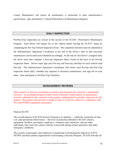County Maintenance will ensure all maintenance is performed to meet manufacturer's specification. (See attachment 3, Vehicle/Wheelchair Lift Maintenance Request)

#### **DAILY INSPECTION**

Pre/Post-Trip inspections are crucial to the success of the SCATS Preventative Maintenance Program. Each driver will inspect his or her vehicle before leaving the SCATS depot by completing the Pre-Trip Vehicle Inspection Form. The completed checklist must be submitted to the Administrative Operations Coordinator at the end of the driver's shift so that necessary maintenance can be noted and scheduled accordingly. At the end of each driver's assigned shift, the driver must also complete a Post-trip Inspection Sheet, found on the back of the Pre-trip Inspection Sheet. Drivers must sign each Pre-trip and Post-trip checklist for each vehicle used that day. The Administrative Operations Coordinator will review each Pre-trip and Post-Trip inspection sheets daily, schedule any required or necessary maintenance, and sign off on each sheet. (See attachment 4, Pre/Post-Trip Checklist)

## **MANAGEMENT REVIEWS**

There must be an effective mechanism to monitor and document the contractor's maintenance activities. An acceptable program would consist of periodic written reports on maintenance activities submitted by the contractor to the grantee, supplemented by periodic inspections by the grantee. The grantee must provide oversight in order to verify the contractor's compliance with FTA and NCDOT regulations and polices.

#### Purpose SCATS

The overall purpose of SCATS Security Program is to optimize -- within the constraints of time, cost, and operational effectiveness -- the level of protection afforded to SCATS vehicles, equipment, facilities, passengers, employees, volunteers and contractors, and any other individuals who come into contact with the system both during normal operations and under emergency conditions.

The security of passengers and employees is paramount to promoting the objectives of FTA, NCDOT and there partner organizations in developing a Security Program. SCATS will take all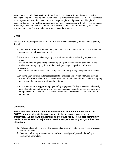reasonable and prudent actions to minimize the risk associated with intentional acts against passengers, employees and equipment/facilities. To further this objective, SCATS has developed security plans and procedures and emergency response plans and procedures. The plans have been coordinated with local law enforcement, emergency services and with other regional transit providers, which addresses the conduct of exercises in support of their emergency plans, and assessment of critical assets and measures to protect these assets.

#### **Goals**

The Security Program provides SCATS with a security and emergency preparedness capability that will:

- 1. The Security Program's number one goal is the protection and safety of system employees, passengers, vehicles and equipment.
- 2. Ensure that security and emergency preparedness are addressed during all phases of system

 operation, including the hiring and training of agency personnel; the procurement and maintenance of agency equipment; the development agency policies, rules, and procedures;

and coordination with local public safety and community emergency planning agencies.

- 3. Promote analysis tools and methodologies to encourage safe system operation through the identification, evaluation and resolution of threats and vulnerabilities, and the on-going assessment of agency capabilities and readiness.
- 4. Create a culture that supports employee safety, equipment/facility protection and security and safe system operation (during normal and emergency conditions) through motivated compliance with agency rules and procedures and the appropriate use and operation of equipment.

#### **Objectives**

**In this new environment, every threat cannot be identified and resolved, but SCATS can take steps to be more aware, to better protect passengers, employees, facilities and equipment, and to stand ready to support community needs in response to a major event. To this end, our Security Program has five objectives:** 

- 1. Achieve a level of security performance and emergency readiness that meets or exceeds our requirements
- 2. Increase and strengthen community involvement and participation in the safety and security of our system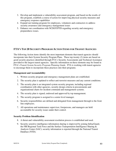- 3. Develop and implement a vulnerability assessment program, and based on the results of this program, establish a course of action for improving physical security measures and emergency response capabilities
- 4. Expand our training program for employees, volunteers and contractors to address security awareness and emergency management issues
- 5. Enhance our coordination with NCDOT/PTD regarding security and emergency preparedness issues.

# **FTA'S TOP 20 SECURITY PROGRAM ACTION ITEMS FOR TRANSIT AGENCIES**

The following Action items identify the most important elements that transit agencies should incorporate into their System Security Program Plans. These top twenty (2) items are based on good security practices identified through FTA's Security Assessments and Technical Assistance provided to the largest transit agencies. Specific information on these elements may be found in FTA's *Transit System Security Program Planning Guide.* FTA is working with transit agencies to encourage them to incorporate these practices into their programs.

#### **Management and Accountability**

- 1. Written security program and emergency management plans are established.
- 2. The security plan is updated to reflect anti-terrorist measures and any current conditions.
- 3. The security plan is an integrated system security program, including regional coordination with other agencies, security design criteria in procurements and organizational charts for incident command and management systems.
- 4. The security plan is signed, endorsed and approved by top management.
- 5. The security program is assigned to a senior level manager.
- 6. Security responsibilities are defined and delegated from management through to the front line employees.
- 7. All operations and maintenance supervisor, forepersons, and managers are held accountable for security issues under their control.

#### **Security Problem Identification**

- 8. A threat and vulnerability assessment resolution process is established and used.
- 9. Security sensitive intelligence information sharing is improved by joining InfracGuard, the FBI Regional Task Force and the Surface Transportation Intelligence Sharing & Analysis Center (SAC); security information is reported through the National Transit Database (NTD).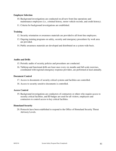#### **Employee Selection**

- 10. Background investigations are conducted on all new front-line operations and maintenance employees (i.e., criminal history, motor vehicle records, and credit history).
- 11. Criteria for background investigations are established.

#### **Training**

- 12. Security orientation or awareness materials are provided to all front-line employees.
- 13. Ongoing training programs on safety, security and emergency procedures by work area are provided.
- 14. Public awareness materials are developed and distributed on a system wide basis.

#### **Audits and Drills**

- 15. Periodic audits of security policies and procedures are conducted.
- 16. Tabletop and functional drills are least once every six months and full-scale exercises, coordinated with regional emergency response providers, are performed at least annually.

#### **Document Control**

- 17. Access to documents of security critical systems and facilities are controlled.
- 18. Access to security sensitive documents is controlled.

#### **Access Control**

19. Background investigations are conductors of contractors or others who require access to security critical facilities, and ID badges are used for all visitors, employees and contractors to control access to key critical facilities.

#### **Homeland Security**

20. Protocols have been established to respond to the Office of Homeland Security Threat Advisory Levels.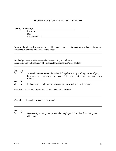## **WORKPLACE SECURITY ASSESSMENT FORM**

| <b>Facility (Worksite):</b> |  |
|-----------------------------|--|
| Location:                   |  |
| Date:                       |  |
| Inspection No.:             |  |

Describe the physical layout of the establishment. Indicate its location to other businesses or residences in the area and access to the street.

Number/gender of employees on-site between 10 p.m. and 5 a.m. Describe nature and frequency of client/customer/passenger/other contact:

| Yes    | N <sub>0</sub> |                                                                                           |
|--------|----------------|-------------------------------------------------------------------------------------------|
|        |                | Are cash transactions conducted with the public during working hours? If yes,             |
|        |                | how much cash is kept in the cash register or in another place accessible to a<br>robber? |
| Yes    | N <sub>0</sub> |                                                                                           |
|        |                |                                                                                           |
| $\Box$ |                | Is there safe or lock-box on the premises into which cash is deposited?                   |

<u> 1989 - Johann Stoff, amerikansk politiker (d. 1989)</u>

What is the security history of the establishment and environs?<br>
<u>Letting</u> the security history of the establishment and environs?

<u> 1989 - Johann Stoff, fransk politik (d. 1989)</u>

What physical security measures are present?<br>
<u>Letting</u>

#### Yes No

 $\overline{a}$  $\overline{a}$ 

 $\overline{a}$ 

 $\overline{a}$  $\overline{a}$ 

 $\overline{a}$ 

 $\Box$  Has security training been provided to employees? If so, has the training been effective?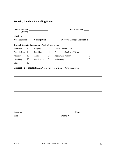# **Security Incident Recording Form**

| Date of Incident:<br>AM/PM |         |                                                                                                                                                                                                                                      | Time of Incident: |                                |                                                                                                                                                                                                                                |
|----------------------------|---------|--------------------------------------------------------------------------------------------------------------------------------------------------------------------------------------------------------------------------------------|-------------------|--------------------------------|--------------------------------------------------------------------------------------------------------------------------------------------------------------------------------------------------------------------------------|
|                            |         | Location: <u>contract and contract and contract and contract and contract and contract and contract and contract and contract and contract and contract and contract and contract and contract and contract and contract and con</u> |                   |                                |                                                                                                                                                                                                                                |
|                            |         | # of Fatalities: _____ # of Injuries: _______                                                                                                                                                                                        |                   | Property Damage Estimate: \$   |                                                                                                                                                                                                                                |
|                            |         | Type of Security Incidents: Check all that apply.                                                                                                                                                                                    |                   |                                |                                                                                                                                                                                                                                |
| Homicide                   | $\perp$ | <b>Burglary</b>                                                                                                                                                                                                                      | П                 | Motor Vehicle Theft            | $\mathsf{L}$                                                                                                                                                                                                                   |
| Forcible Rape $\Box$       |         | Bombing                                                                                                                                                                                                                              | $\Box$            | Chemical or Biological Release |                                                                                                                                                                                                                                |
| Robbery                    | П       | Arson                                                                                                                                                                                                                                | П                 | <b>Aggravated Assault</b>      |                                                                                                                                                                                                                                |
| Hijacking                  | $\Box$  | <b>Bomb Threat</b>                                                                                                                                                                                                                   | $\Box$            | Kidnapping                     | $\mathsf{L}$                                                                                                                                                                                                                   |
| Other                      | П       |                                                                                                                                                                                                                                      |                   |                                |                                                                                                                                                                                                                                |
|                            |         |                                                                                                                                                                                                                                      |                   |                                |                                                                                                                                                                                                                                |
|                            |         |                                                                                                                                                                                                                                      |                   |                                |                                                                                                                                                                                                                                |
|                            |         |                                                                                                                                                                                                                                      |                   |                                |                                                                                                                                                                                                                                |
|                            |         |                                                                                                                                                                                                                                      |                   |                                |                                                                                                                                                                                                                                |
|                            |         |                                                                                                                                                                                                                                      |                   |                                |                                                                                                                                                                                                                                |
|                            |         | Recorded By:                                                                                                                                                                                                                         |                   |                                | Date: the contract of the contract of the contract of the contract of the contract of the contract of the contract of the contract of the contract of the contract of the contract of the contract of the contract of the cont |
| Title:                     |         |                                                                                                                                                                                                                                      |                   | Phone #:                       |                                                                                                                                                                                                                                |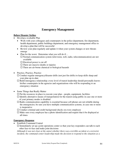# **Emergency Management**

#### **Before Disaster Strikes**

- Develop a workable Plan
	- Work with your colleagues and counterparts in the police department, fire department, health department, public buildings department, and emergency management office to develop a plan that will be successful
	- Review your plan regularly and update it when your system changes or new threats emerge
	- Plan for the worst. Determine what you will do if...
		- $\Box$  Normal communication system (television, web, radio, telecommunication) are not available
		- $\square$  Electrical power is cut off
		- $\square$  There are massive deaths or injuries
		- $\square$  There are air-borne chemical or biological hazards
- Practice, Practice, Practice
	- $\Box$  Conduct regular emergency/disaster drills (not just fire drills) to keep skills sharp and your plan up-to-date
	- $\Box$  Build interagency relationship; every level of transit leadership should personally knows his/her counterparts in the agencies and organizations who will be responding to an emergency situation
- Some Things that Really Matter
	- $\square$  Put the resources in place to execute your plan people, equipment, facilities
	- $\Box$  Identify alternative means of transportation for the transit-using public in case one or more of your primary modes is disabled
	- $\Box$  Radio communication capability is essential because cell phones are not reliable during the emergencies; be sure you have multiple communication systems, in case one or more is inoperative
	- $\Box$  Conduct criminal and credit background checks on every employee
	- $\Box$  Make sure every employee has a photo identification and require that it be displayed at all times

#### **Emergency Response**

- Establish Command Central
	- $\Box$  Immediately set up a joint operations center so that your key responders can talk to each other face-to-face and make joint decisions

*Although it was not clear at the outset whether there was a terrible accident or a terrorist incident, the command center leadership made the decision to respond to the situation as a*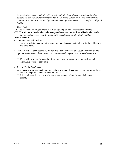*terrorist attack. As a result, the NYC transit authority immediately evacuated all trains, passengers and transit employees from the World Trade Center area – and there were no transit-related deaths or serious injuries and no equipment losses as a result of the collapsed building.*

- Improvise!
	- Be ready and willing to improvise; even a good plan can't anticipate everything

**NYC Transit made the decision to let everyone leave the city for free; this decision made**  *the evacuation process quicker and built tremendous goodwill with the public.* 

#### **In the Aftermath**

• Communicate with the Public

 $\Box$  Use your website to communicate your service plans and availability with the public on a real-time basis.

 NYC Transit has been getting 10 million hits a day, compared to a usual 200,000 hits, and updates its site every 2 hours even if no substantive changes to service have been made.

 $\Box$  Work with local television and radio stations to get information about closings and alternative routes to the public

• Restore Public Confidence

 $\Box$  Increase law enforcement visibility; put a uniformed officer on every train, if possible, to reassure the public and deter potential threats

 $\Box$  Tell people – with brochures, ads, and announcement – how they can help enhance security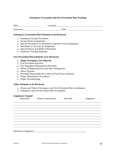## **Emergency Evacuation and Fire Prevention Plan Training**

|                                                                     | Date:                                                                                  |                                                                                                                                                                                                                                   | Location: <u>contraction</u> |
|---------------------------------------------------------------------|----------------------------------------------------------------------------------------|-----------------------------------------------------------------------------------------------------------------------------------------------------------------------------------------------------------------------------------|------------------------------|
| Instructor: Title: Title:                                           |                                                                                        |                                                                                                                                                                                                                                   |                              |
|                                                                     |                                                                                        | <b>Emergency Evacuation Plan Elements to be Reviewed</b>                                                                                                                                                                          |                              |
| $\Box$<br>$\Box$<br>$\Box$<br>$\Box$<br>$\Box$                      | <b>Escape Route Assignments</b><br><b>Employee Training Programs</b>                   | <b>Emergency Escape Procedures</b><br>Special Procedures for Personnel to Operate Critical Equipment<br>Procedures to Account for Employees<br>Special Rescue and Medical Personnel                                               |                              |
|                                                                     |                                                                                        | <b>Fire Prevention Plan Elements to be Reviewed</b>                                                                                                                                                                               |                              |
| $\Box$<br>$\Box$<br>□<br>$\Box$<br>$\Box$<br>o.<br>$\Box$<br>$\Box$ | <b>Fire Prevention Practices</b><br><b>Alarm Systems</b><br><b>Proper Housekeeping</b> | <b>Major Workplace Fire Hazards</b><br>Fire Equipment Maintenance Personnel<br>Means of Reporting Fires and other Emergencies<br>Personnel Responsible for Control of Fuel Source Hazards<br><b>Proper Maintenance Procedures</b> |                              |
|                                                                     | <b>Other Elements to be Reviewed</b>                                                   |                                                                                                                                                                                                                                   |                              |
| $\Box$<br>$\Box$                                                    |                                                                                        | Names and Titles of Emergency and Fire Prevention Plan Coordinators<br><b>Emergency and Fire Prevention Plan Availability</b>                                                                                                     |                              |
|                                                                     | <b>Employees Trained</b><br>Name/SS#                                                   | Work Location/Unit Job Title                                                                                                                                                                                                      | Signature                    |
|                                                                     |                                                                                        |                                                                                                                                                                                                                                   |                              |
|                                                                     |                                                                                        |                                                                                                                                                                                                                                   |                              |
|                                                                     | Instructor's Signature:                                                                |                                                                                                                                                                                                                                   |                              |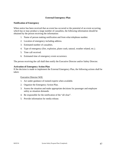#### **External Emergency Plan**

#### **Notification of Emergency**

When notice has been received that an event has occurred or the potential of an event occurring, which has or may produce a large number of casualties, the following information should be obtained by the person receiving the information:

- 1. Name of person making notification and from what telephone number.
- 2. Location of emergency including address.
- 3. Estimated number of casualties.
- 4. Type of emergency (fire, explosion, plane crash, natural, weather related, etc.).
- 5. Time call received.
- 6. Estimated time of emergency event occurrence.

The person receiving the call shall then notify the Executive Director and/or Safety Director.

#### **Activation of Emergency Action Plan**

If the decision is made to implement the External Emergency Plan, the following actions shall be taken:

Executive Director Will:

- 1. Act under guidance of trained experts when available.
- 2. Organize the Emergency Action Plan.
- 3. Assess the situation and make appropriate decisions for passenger and employee safety as situation demands.
- 4. Be responsible for the notification of the "all clear".
- 5. Provide information for media release.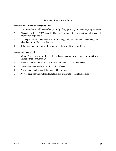#### **INTERNAL EMERGENCY PLAN**

#### **Activation of Internal Emergency Plan**

- 1. The Dispatcher should be notified promptly of any promptly of any emergency situation.
- 2. Dispatcher will call "911" to notify County Communications of situation giving as much information as possible.
- 3. The dispatcher will keep records of all incoming calls that involve the emergency and relay them to the Executive Director.
- 4. If the Executive Director implements evacuation, see Evacuation Plan.

#### Executive Director Will:

- 1. Initiate Emergency Action Plan if deemed necessary and be the contact at the *[Disaster Operations (Board Room).]*
- 2. Provides a means to inform staff of the emergency and provide updates.
- 3. Provide the news media with information release.
- 4. Provide personnel to assist Emergency Operations.
- 5. Provide agencies with vehicle layouts and/or blueprints of the affected area.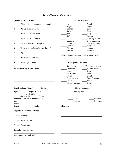# **BOMB THREAT CHECKLIST**

#### **Questions to Ask Caller: Caller's Voice:**

|  | When is the bomb going to explode? | Calm | Nasal |
|--|------------------------------------|------|-------|
|--|------------------------------------|------|-------|

- 
- 3. What does it look like? Rapid Rapid
- 
- 
- 6. Did you (the caller) place the bomb? \_\_\_\_\_District \_\_\_\_\_Accent
- 7. Why?
- 8. What is your address?
- 9. What is your name? **Background Sounds:**

#### **Exact Wording of the Threat:**

|                                                                                                                                                                                                                               | $\sqrt{2}$<br>$\mathsf{C}$                                                                                                                                                                                                                                                                                                                             |
|-------------------------------------------------------------------------------------------------------------------------------------------------------------------------------------------------------------------------------|--------------------------------------------------------------------------------------------------------------------------------------------------------------------------------------------------------------------------------------------------------------------------------------------------------------------------------------------------------|
|                                                                                                                                                                                                                               | _PA System<br><b>Static</b>                                                                                                                                                                                                                                                                                                                            |
|                                                                                                                                                                                                                               | Music<br>Local                                                                                                                                                                                                                                                                                                                                         |
| the control of the control of the control of the control of the control of the control of the control of the control of the control of the control of the control of the control of the control of the control of the control | House noises ________Long Distance                                                                                                                                                                                                                                                                                                                     |
|                                                                                                                                                                                                                               | Motor<br><b>Booth</b>                                                                                                                                                                                                                                                                                                                                  |
|                                                                                                                                                                                                                               | Office Machinery ______Other                                                                                                                                                                                                                                                                                                                           |
| Sex of Caller: M or F Race:                                                                                                                                                                                                   | <b>Threat Language:</b>                                                                                                                                                                                                                                                                                                                                |
| Age: Length of Call:<br>Incoherent                                                                                                                                                                                            | ____Well Spoken                                                                                                                                                                                                                                                                                                                                        |
| (Educated) _______Taped                                                                                                                                                                                                       |                                                                                                                                                                                                                                                                                                                                                        |
| Number at which call is received:                                                                                                                                                                                             | – Foul<br>_Message                                                                                                                                                                                                                                                                                                                                     |
|                                                                                                                                                                                                                               | Irrational<br>by threat                                                                                                                                                                                                                                                                                                                                |
| maker                                                                                                                                                                                                                         |                                                                                                                                                                                                                                                                                                                                                        |
| Time: Date: Date:                                                                                                                                                                                                             |                                                                                                                                                                                                                                                                                                                                                        |
| <b>Report Call Immediately to:</b>                                                                                                                                                                                            | <u> 1989 - Andrea Barbara, Amerikaansk politiker (d. 1989)</u>                                                                                                                                                                                                                                                                                         |
| <b>Contact Number</b>                                                                                                                                                                                                         |                                                                                                                                                                                                                                                                                                                                                        |
| <b>Contact Name or Title</b>                                                                                                                                                                                                  | <u> 1989 - Johann Stoff, deutscher Stoff, der Stoff, der Stoff, der Stoff, der Stoff, der Stoff, der Stoff, der S</u><br>the control of the control of the control of the control of the control of the control of the control of the control of the control of the control of the control of the control of the control of the control of the control |
| <b>Contact Organization</b>                                                                                                                                                                                                   | <u> 1989 - Johann Barnett, fransk politiker (d. 1989)</u>                                                                                                                                                                                                                                                                                              |
| Secondary Contact Info                                                                                                                                                                                                        | <u> 1989 - Johann Stein, marwolaethau a bhann an t-Amhain an t-Amhain an t-Amhain an t-Amhain an t-Amhain an t-A</u>                                                                                                                                                                                                                                   |
| <b>Secondary Contact Info</b>                                                                                                                                                                                                 |                                                                                                                                                                                                                                                                                                                                                        |

Angry \_\_\_\_\_\_Stutter 2. Where is it right now? \_\_\_\_\_Excited \_\_\_\_\_Lisp \_\_\_\_\_Slow \_\_\_\_\_Rasp \_\_\_\_\_Soft \_\_\_\_\_Ragged 4. What kind of bomb is it? \_\_\_\_\_Loud \_\_\_\_\_Clearing Throat \_\_\_\_\_Laughter \_\_\_\_\_Deep Breathing 5. What will cause it to explode? Crying Cracking Voice Normal Disguised Slurred Familiar

If voice is familiar, whom did it sound like?

|                                     | Street noises           | Factory machinery |
|-------------------------------------|-------------------------|-------------------|
| <b>Exact Wording of the Threat:</b> | Television              | Animal noises     |
|                                     | Voices                  | Clear             |
|                                     | PA System               | <b>Static</b>     |
|                                     | Music                   | Local             |
|                                     | House noises            | Long Distance     |
|                                     | Motor                   | <b>Booth</b>      |
|                                     | <b>Office Machinery</b> | Other             |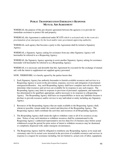# **PUBLIC TRANSPORTATION EMERGENCY RESPONSE MUTUAL AID AGREEMENT**

WHEREAS, the purpose of this pre-disaster agreement between the agencies is to provide for immediate assistance to protect life and property;

WHEREAS, this Agreement is authorized under SCATS *which is activated only in the event of a proclamation of an emergency by the local and/or state government approving authority;* 

WHEREAS, each agency that becomes a party to this Agreement shall be termed a Signatory Agency;

WHEREAS, a Signatory Agency asking for assistance from any other Signatory Agency will hereinafter be referred to as a Requesting Agency;

WHEREAS, the Signatory Agency agreeing to assist another Signatory Agency asking for assistance hereunder will hereinafter be referred to as a Responding Agency;

WHEREAS, it is necessary and desirable that this Agreement be executed for the exchange of mutual aid; with the intent to supplement not supplant agency personnel.

NOW, THEREFORE, it is hereby agreed by the parties hereto that:

- 1. Each Signatory Agency has authority hereunder to furnish available resources and services to a Requesting Agency to assist in the prevention, response, recovery and mitigation of proclaimed emergencies/disasters. Any such Responding Agency shall have complete and sole discretion to determine what resources and services are available for its response to any such request. The Responding Agency may limit its response to provision of personnel, equipment, and materials it has determined to be qualified, appropriate, and/or necessary to its response to a Requesting Agency. The Responding Agency shall have no responsibilities or incur any liabilities because it declines to provide resources and/or services to any individual or entity including any Signatory Agency.
- 2. Resources of the Responding Agency that are made available to the Requesting Agency shall, whenever possible, remain under the control and direction of the Responding Agency. The Requesting Agency shall coordinate the activities and resources of all Responding Agencies.
- 3. The Responding Agency shall retain the right to withdraw some or all of its resources at any time. Notice of any such intention to withdraw resources shall be communicated to the Requesting Agency's authorized representative not less than five (5) business days before actual withdrawal except the period for prior notice of intent to withdraw resources may be shortened, or completely dispensed with, under emergent circumstances.
- 4. The Requesting Agency shall be obligated to reimburse any Responding Agency at its usual and customary rates for its actual costs incurred in the provision of available resources and services in response to a request for assistance including, but not limited to, actual costs of labor, equipment,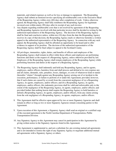materials, and related expenses as well as for loss or damage to equipment. The Responding Agency shall submit an itemized invoice specifying all reimbursable costs to the Executive Head of the Requesting Agency within sixty (60) days after completion of work. Unless otherwise agreed, the Requesting Agency shall fully reimburse the Responding Agency for legitimate invoiced costs within ninety (90) days after its receipt of any such invoice.

- 5. Any dispute regarding reimbursable costs that is not resolved by agreement of the Requesting and Responding Agencies involved with that particular invoice shall be decided in writing by the authorized representative of the Requesting Agency. The decision of the Requesting Agency shall be final and conclusive unless, within ten (10) days from the date the Responding Agency receives its copy of that decision, the Responding Agency mails or otherwise furnishes a written appeal to the authorized representative of the Requesting Agency. In connection with any such appeal, the Responding Agency shall be afforded an opportunity to be heard and to offer evidence in support of its position. The decision of the authorized representative of the Requesting Agency shall be final subject to appeal to the Scotland County.
- 6. All privileges, immunities, rights, duties, and benefits of officers and employees of the Responding Agency shall remain in effect while those officers and employees are performing functions and duties at the request of a Requesting Agency, unless otherwise provided by law. Employees of the Responding Agency shall remain employees of the Responding Agency while performing functions and duties at the request of a Requesting Agency*.*
- 7. The Requesting Agency shall indemnify and hold any Responding Agency, and its agents, employees, and/or officers, harmless from and shall process and defend at its own expense any and all claims, demands, suits, penalties, losses, damages, or costs of whatsoever kind or nature (hereafter "claims") brought against any Responding Agency arising out of or incident to the execution, performance, or failure to perform of or under this Agreement; provided, however, that if such claims are caused by or result from the concurrent negligence of (a) a Requesting Agency, its agents, employees, and/or officers; and (b) a Responding Agency, its agents, employees, and/or officers, this indemnity provision shall be valid and enforceable only to the extent of the negligence of the Requesting Agency, its agents, employees, and/or officers; and provided further that nothing herein shall require the Requesting Agency to hold harmless or defend a Responding Agency, its agents, employees, and/or officers, from any claims arising from the sole negligence of a Responding Agency, its agents, employees, and/or officers.
- 8. This Agreement shall be effective upon approval by two or more Signatory Agencies and shall remain in effect so long as two or more Signatory Agencies remain consenting parties to this Agreement.
- 9. Upon execution of this Agreement, a Signatory Agency shall send an original or a certified copy of the executed agreement to the North Carolina Department of Transportation, Public Transportation Division.
- 10. Any Signatory Agency to this Agreement may cancel its participation in this Agreement by giving written notice to the Signatory Agencies listed in this Agreement.
- 11. This Agreement is supplemental to, and not a substitute for, pre-existing mutual aid agreements and is not intended to restrict the right of any Signatory Agency to negotiate additional mutual aid agreements with a Signatory Agency or others.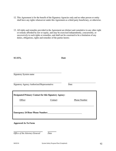- 12. This Agreement is for the benefit of the Signatory Agencies only and no other person or entity shall have any rights whatsoever under this Agreement as a third party beneficiary, or otherwise.
- 13. All rights and remedies provided in the Agreement are distinct and cumulative to any other right or remedy afforded by law or equity, and may be exercised independently, concurrently, or successively to such rights or remedies, and shall not be construed to be a limitation of any duties, obligations, rights and remedies of the parties hereto.

**SCATS, Date** 

| <b>Signatory System name</b>                                 |          |                     |  |
|--------------------------------------------------------------|----------|---------------------|--|
| Signatory Agency Authorized Representative                   |          | Date                |  |
| <b>Designated Primary Contact for this Signatory Agency:</b> |          |                     |  |
| Office:                                                      | Contact: | <b>Phone Number</b> |  |
| <b>Emergency 24 Hour Phone Number:</b>                       |          |                     |  |
| <b>Approved As To Form</b>                                   |          |                     |  |

*Office of the Attorney General Date*

l